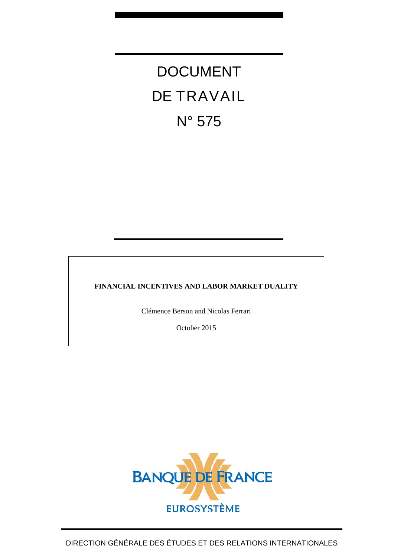# DOCUMENT DE TRAVAIL N° 575

### **FINANCIAL INCENTIVES AND LABOR MARKET DUALITY**

Clémence Berson and Nicolas Ferrari

October 2015

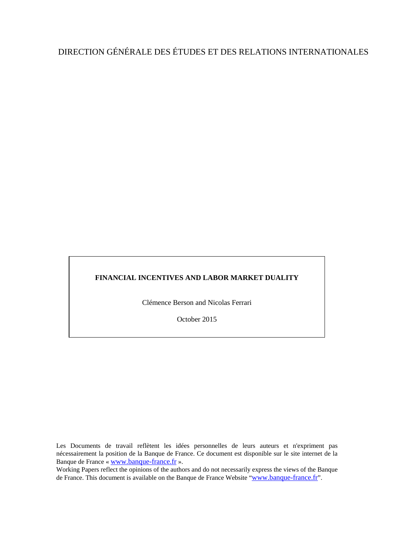## DIRECTION GÉNÉRALE DES ÉTUDES ET DES RELATIONS INTERNATIONALES

### **FINANCIAL INCENTIVES AND LABOR MARKET DUALITY**

Clémence Berson and Nicolas Ferrari

October 2015

Les Documents de travail reflètent les idées personnelles de leurs auteurs et n'expriment pas nécessairement la position de la Banque de France. Ce document est disponible sur le site internet de la Banque de France « [www.banque-france.fr](http://www.banque-france.fr/) ».

Working Papers reflect the opinions of the authors and do not necessarily express the views of the Banque de France. This document is available on the Banque de France Website ["www.banque-france.fr"](http://www.banque-france.fr/).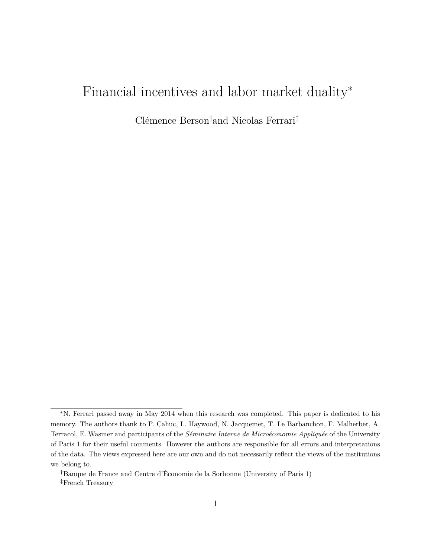# Financial incentives and labor market duality<sup>\*</sup>

Clémence Berson†and Nicolas Ferrari‡

<sup>∗</sup>N. Ferrari passed away in May 2014 when this research was completed. This paper is dedicated to his memory. The authors thank to P. Cahuc, L. Haywood, N. Jacquemet, T. Le Barbanchon, F. Malherbet, A. Terracol, E. Wasmer and participants of the *Séminaire Interne de Microéconomie Appliquée* of the University of Paris 1 for their useful comments. However the authors are responsible for all errors and interpretations of the data. The views expressed here are our own and do not necessarily reflect the views of the institutions we belong to.

<sup>†</sup>Banque de France and Centre d'Économie de la Sorbonne (University of Paris 1) ‡French Treasury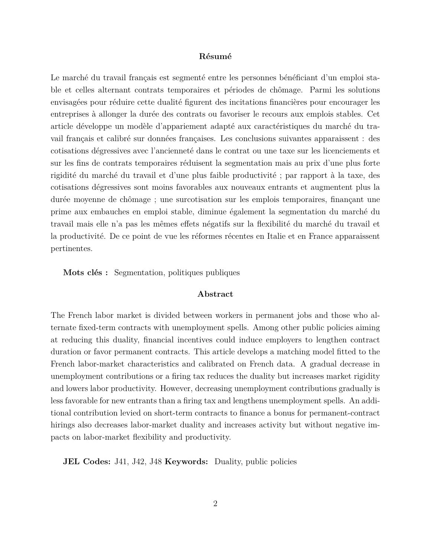#### **Résumé**

Le marché du travail français est segmenté entre les personnes bénéficiant d'un emploi stable et celles alternant contrats temporaires et périodes de chômage. Parmi les solutions envisagées pour réduire cette dualité figurent des incitations financières pour encourager les entreprises à allonger la durée des contrats ou favoriser le recours aux emplois stables. Cet article développe un modèle d'appariement adapté aux caractéristiques du marché du travail français et calibré sur données françaises. Les conclusions suivantes apparaissent : des cotisations dégressives avec l'ancienneté dans le contrat ou une taxe sur les licenciements et sur les fins de contrats temporaires réduisent la segmentation mais au prix d'une plus forte rigidité du marché du travail et d'une plus faible productivité ; par rapport à la taxe, des cotisations dégressives sont moins favorables aux nouveaux entrants et augmentent plus la durée moyenne de chômage ; une surcotisation sur les emplois temporaires, finançant une prime aux embauches en emploi stable, diminue également la segmentation du marché du travail mais elle n'a pas les mêmes effets négatifs sur la flexibilité du marché du travail et la productivité. De ce point de vue les réformes récentes en Italie et en France apparaissent pertinentes.

**Mots clés :** Segmentation, politiques publiques

#### **Abstract**

The French labor market is divided between workers in permanent jobs and those who alternate fixed-term contracts with unemployment spells. Among other public policies aiming at reducing this duality, financial incentives could induce employers to lengthen contract duration or favor permanent contracts. This article develops a matching model fitted to the French labor-market characteristics and calibrated on French data. A gradual decrease in unemployment contributions or a firing tax reduces the duality but increases market rigidity and lowers labor productivity. However, decreasing unemployment contributions gradually is less favorable for new entrants than a firing tax and lengthens unemployment spells. An additional contribution levied on short-term contracts to finance a bonus for permanent-contract hirings also decreases labor-market duality and increases activity but without negative impacts on labor-market flexibility and productivity.

**JEL Codes:** J41, J42, J48 **Keywords:** Duality, public policies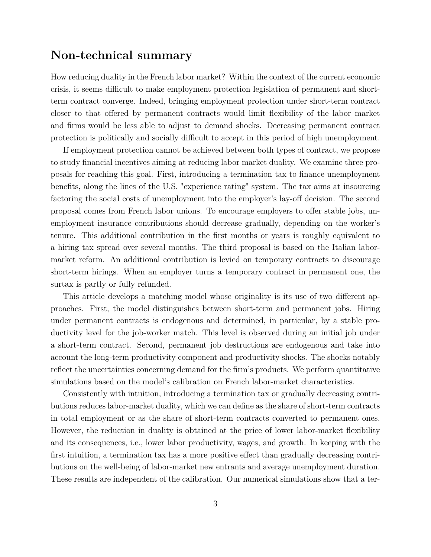### **Non-technical summary**

How reducing duality in the French labor market? Within the context of the current economic crisis, it seems difficult to make employment protection legislation of permanent and shortterm contract converge. Indeed, bringing employment protection under short-term contract closer to that offered by permanent contracts would limit flexibility of the labor market and firms would be less able to adjust to demand shocks. Decreasing permanent contract protection is politically and socially difficult to accept in this period of high unemployment.

If employment protection cannot be achieved between both types of contract, we propose to study financial incentives aiming at reducing labor market duality. We examine three proposals for reaching this goal. First, introducing a termination tax to finance unemployment benefits, along the lines of the U.S. "experience rating" system. The tax aims at insourcing factoring the social costs of unemployment into the employer's lay-off decision. The second proposal comes from French labor unions. To encourage employers to offer stable jobs, unemployment insurance contributions should decrease gradually, depending on the worker's tenure. This additional contribution in the first months or years is roughly equivalent to a hiring tax spread over several months. The third proposal is based on the Italian labormarket reform. An additional contribution is levied on temporary contracts to discourage short-term hirings. When an employer turns a temporary contract in permanent one, the surtax is partly or fully refunded.

This article develops a matching model whose originality is its use of two different approaches. First, the model distinguishes between short-term and permanent jobs. Hiring under permanent contracts is endogenous and determined, in particular, by a stable productivity level for the job-worker match. This level is observed during an initial job under a short-term contract. Second, permanent job destructions are endogenous and take into account the long-term productivity component and productivity shocks. The shocks notably reflect the uncertainties concerning demand for the firm's products. We perform quantitative simulations based on the model's calibration on French labor-market characteristics.

Consistently with intuition, introducing a termination tax or gradually decreasing contributions reduces labor-market duality, which we can define as the share of short-term contracts in total employment or as the share of short-term contracts converted to permanent ones. However, the reduction in duality is obtained at the price of lower labor-market flexibility and its consequences, i.e., lower labor productivity, wages, and growth. In keeping with the first intuition, a termination tax has a more positive effect than gradually decreasing contributions on the well-being of labor-market new entrants and average unemployment duration. These results are independent of the calibration. Our numerical simulations show that a ter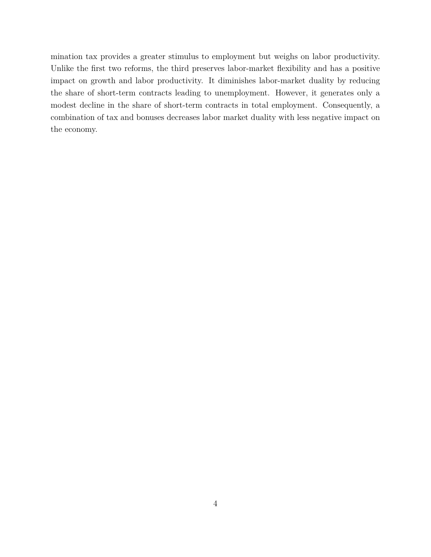mination tax provides a greater stimulus to employment but weighs on labor productivity. Unlike the first two reforms, the third preserves labor-market flexibility and has a positive impact on growth and labor productivity. It diminishes labor-market duality by reducing the share of short-term contracts leading to unemployment. However, it generates only a modest decline in the share of short-term contracts in total employment. Consequently, a combination of tax and bonuses decreases labor market duality with less negative impact on the economy.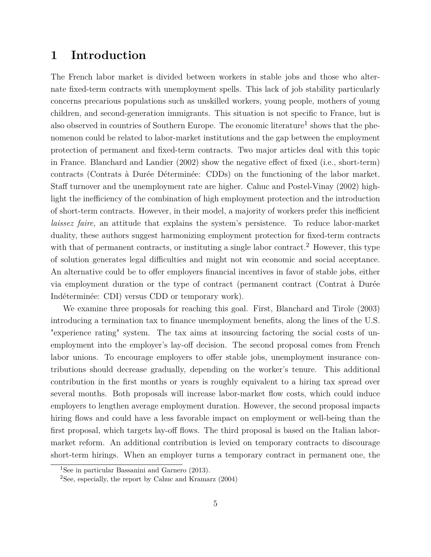### **1 Introduction**

The French labor market is divided between workers in stable jobs and those who alternate fixed-term contracts with unemployment spells. This lack of job stability particularly concerns precarious populations such as unskilled workers, young people, mothers of young children, and second-generation immigrants. This situation is not specific to France, but is also observed in countries of Southern Europe. The economic literature<sup>1</sup> shows that the phenomenon could be related to labor-market institutions and the gap between the employment protection of permanent and fixed-term contracts. Two major articles deal with this topic in France. Blanchard and Landier (2002) show the negative effect of fixed (i.e., short-term) contracts (Contrats à Durée Déterminée: CDDs) on the functioning of the labor market. Staff turnover and the unemployment rate are higher. Cahuc and Postel-Vinay (2002) highlight the inefficiency of the combination of high employment protection and the introduction of short-term contracts. However, in their model, a majority of workers prefer this inefficient *laissez faire*, an attitude that explains the system's persistence. To reduce labor-market duality, these authors suggest harmonizing employment protection for fixed-term contracts with that of permanent contracts, or instituting a single labor contract.<sup>2</sup> However, this type of solution generates legal difficulties and might not win economic and social acceptance. An alternative could be to offer employers financial incentives in favor of stable jobs, either via employment duration or the type of contract (permanent contract (Contrat à Durée Indéterminée: CDI) versus CDD or temporary work).

We examine three proposals for reaching this goal. First, Blanchard and Tirole (2003) introducing a termination tax to finance unemployment benefits, along the lines of the U.S. "experience rating" system. The tax aims at insourcing factoring the social costs of unemployment into the employer's lay-off decision. The second proposal comes from French labor unions. To encourage employers to offer stable jobs, unemployment insurance contributions should decrease gradually, depending on the worker's tenure. This additional contribution in the first months or years is roughly equivalent to a hiring tax spread over several months. Both proposals will increase labor-market flow costs, which could induce employers to lengthen average employment duration. However, the second proposal impacts hiring flows and could have a less favorable impact on employment or well-being than the first proposal, which targets lay-off flows. The third proposal is based on the Italian labormarket reform. An additional contribution is levied on temporary contracts to discourage short-term hirings. When an employer turns a temporary contract in permanent one, the

<sup>1</sup>See in particular Bassanini and Garnero (2013).

<sup>&</sup>lt;sup>2</sup>See, especially, the report by Cahuc and Kramarz  $(2004)$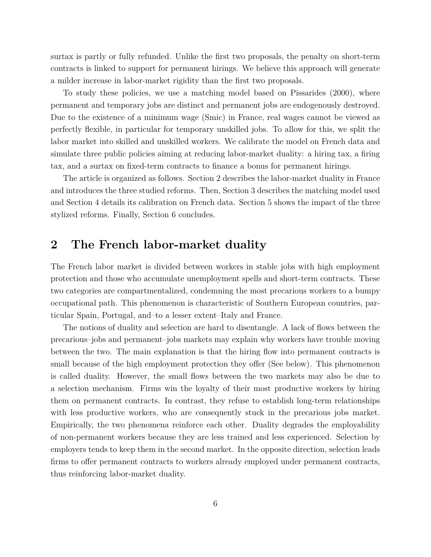surtax is partly or fully refunded. Unlike the first two proposals, the penalty on short-term contracts is linked to support for permanent hirings. We believe this approach will generate a milder increase in labor-market rigidity than the first two proposals.

To study these policies, we use a matching model based on Pissarides (2000), where permanent and temporary jobs are distinct and permanent jobs are endogenously destroyed. Due to the existence of a minimum wage (Smic) in France, real wages cannot be viewed as perfectly flexible, in particular for temporary unskilled jobs. To allow for this, we split the labor market into skilled and unskilled workers. We calibrate the model on French data and simulate three public policies aiming at reducing labor-market duality: a hiring tax, a firing tax, and a surtax on fixed-term contracts to finance a bonus for permanent hirings.

The article is organized as follows. Section 2 describes the labor-market duality in France and introduces the three studied reforms. Then, Section 3 describes the matching model used and Section 4 details its calibration on French data. Section 5 shows the impact of the three stylized reforms. Finally, Section 6 concludes.

### **2 The French labor-market duality**

The French labor market is divided between workers in stable jobs with high employment protection and those who accumulate unemployment spells and short-term contracts. These two categories are compartmentalized, condemning the most precarious workers to a bumpy occupational path. This phenomenon is characteristic of Southern European countries, particular Spain, Portugal, and–to a lesser extent–Italy and France.

The notions of duality and selection are hard to disentangle. A lack of flows between the precarious–jobs and permanent–jobs markets may explain why workers have trouble moving between the two. The main explanation is that the hiring flow into permanent contracts is small because of the high employment protection they offer (See below). This phenomenon is called duality. However, the small flows between the two markets may also be due to a selection mechanism. Firms win the loyalty of their most productive workers by hiring them on permanent contracts. In contrast, they refuse to establish long-term relationships with less productive workers, who are consequently stuck in the precarious jobs market. Empirically, the two phenomena reinforce each other. Duality degrades the employability of non-permanent workers because they are less trained and less experienced. Selection by employers tends to keep them in the second market. In the opposite direction, selection leads firms to offer permanent contracts to workers already employed under permanent contracts, thus reinforcing labor-market duality.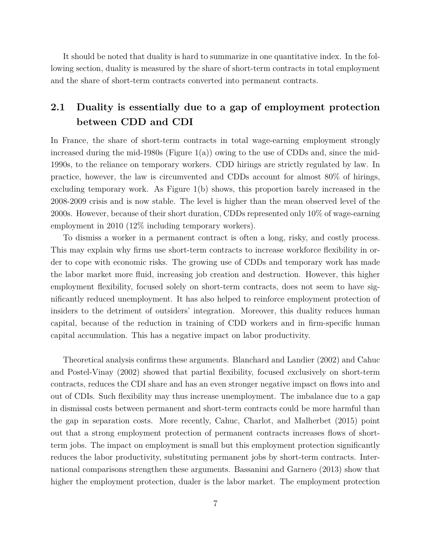It should be noted that duality is hard to summarize in one quantitative index. In the following section, duality is measured by the share of short-term contracts in total employment and the share of short-term contracts converted into permanent contracts.

### **2.1 Duality is essentially due to a gap of employment protection between CDD and CDI**

In France, the share of short-term contracts in total wage-earning employment strongly increased during the mid-1980s (Figure 1(a)) owing to the use of CDDs and, since the mid-1990s, to the reliance on temporary workers. CDD hirings are strictly regulated by law. In practice, however, the law is circumvented and CDDs account for almost 80% of hirings, excluding temporary work. As Figure 1(b) shows, this proportion barely increased in the 2008-2009 crisis and is now stable. The level is higher than the mean observed level of the 2000s. However, because of their short duration, CDDs represented only 10% of wage-earning employment in 2010 (12% including temporary workers).

To dismiss a worker in a permanent contract is often a long, risky, and costly process. This may explain why firms use short-term contracts to increase workforce flexibility in order to cope with economic risks. The growing use of CDDs and temporary work has made the labor market more fluid, increasing job creation and destruction. However, this higher employment flexibility, focused solely on short-term contracts, does not seem to have significantly reduced unemployment. It has also helped to reinforce employment protection of insiders to the detriment of outsiders' integration. Moreover, this duality reduces human capital, because of the reduction in training of CDD workers and in firm-specific human capital accumulation. This has a negative impact on labor productivity.

Theoretical analysis confirms these arguments. Blanchard and Landier (2002) and Cahuc and Postel-Vinay (2002) showed that partial flexibility, focused exclusively on short-term contracts, reduces the CDI share and has an even stronger negative impact on flows into and out of CDIs. Such flexibility may thus increase unemployment. The imbalance due to a gap in dismissal costs between permanent and short-term contracts could be more harmful than the gap in separation costs. More recently, Cahuc, Charlot, and Malherbet (2015) point out that a strong employment protection of permanent contracts increases flows of shortterm jobs. The impact on employment is small but this employment protection significantly reduces the labor productivity, substituting permanent jobs by short-term contracts. International comparisons strengthen these arguments. Bassanini and Garnero (2013) show that higher the employment protection, dualer is the labor market. The employment protection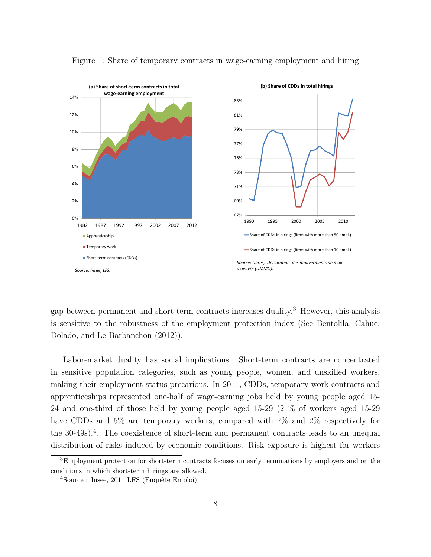

Figure 1: Share of temporary contracts in wage-earning employment and hiring

gap between permanent and short-term contracts increases duality.<sup>3</sup> However, this analysis is sensitive to the robustness of the employment protection index (See Bentolila, Cahuc, Dolado, and Le Barbanchon (2012)).

Labor-market duality has social implications. Short-term contracts are concentrated in sensitive population categories, such as young people, women, and unskilled workers, making their employment status precarious. In 2011, CDDs, temporary-work contracts and apprenticeships represented one-half of wage-earning jobs held by young people aged 15- 24 and one-third of those held by young people aged 15-29 (21% of workers aged 15-29 have CDDs and 5% are temporary workers, compared with 7% and 2% respectively for the 30-49s).<sup>4</sup>. The coexistence of short-term and permanent contracts leads to an unequal distribution of risks induced by economic conditions. Risk exposure is highest for workers

<sup>&</sup>lt;sup>3</sup>Employment protection for short-term contracts focuses on early terminations by employers and on the conditions in which short-term hirings are allowed.

<sup>4</sup>Source : Insee, 2011 LFS (Enquête Emploi).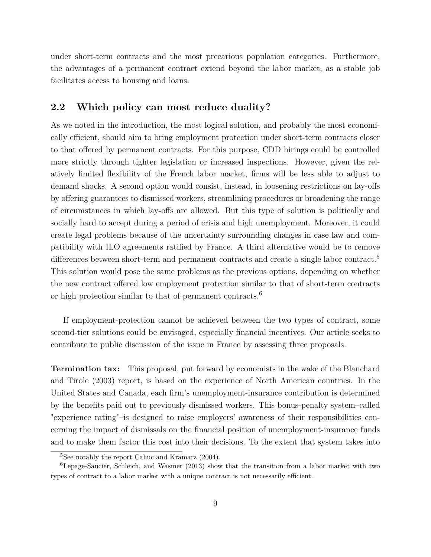under short-term contracts and the most precarious population categories. Furthermore, the advantages of a permanent contract extend beyond the labor market, as a stable job facilitates access to housing and loans.

### **2.2 Which policy can most reduce duality?**

As we noted in the introduction, the most logical solution, and probably the most economically efficient, should aim to bring employment protection under short-term contracts closer to that offered by permanent contracts. For this purpose, CDD hirings could be controlled more strictly through tighter legislation or increased inspections. However, given the relatively limited flexibility of the French labor market, firms will be less able to adjust to demand shocks. A second option would consist, instead, in loosening restrictions on lay-offs by offering guarantees to dismissed workers, streamlining procedures or broadening the range of circumstances in which lay-offs are allowed. But this type of solution is politically and socially hard to accept during a period of crisis and high unemployment. Moreover, it could create legal problems because of the uncertainty surrounding changes in case law and compatibility with ILO agreements ratified by France. A third alternative would be to remove differences between short-term and permanent contracts and create a single labor contract.<sup>5</sup> This solution would pose the same problems as the previous options, depending on whether the new contract offered low employment protection similar to that of short-term contracts or high protection similar to that of permanent contracts.<sup>6</sup>

If employment-protection cannot be achieved between the two types of contract, some second-tier solutions could be envisaged, especially financial incentives. Our article seeks to contribute to public discussion of the issue in France by assessing three proposals.

**Termination tax:** This proposal, put forward by economists in the wake of the Blanchard and Tirole (2003) report, is based on the experience of North American countries. In the United States and Canada, each firm's unemployment-insurance contribution is determined by the benefits paid out to previously dismissed workers. This bonus-penalty system–called "experience rating"–is designed to raise employers' awareness of their responsibilities concerning the impact of dismissals on the financial position of unemployment-insurance funds and to make them factor this cost into their decisions. To the extent that system takes into

 ${}^{5}$ See notably the report Cahuc and Kramarz (2004).

<sup>6</sup>Lepage-Saucier, Schleich, and Wasmer (2013) show that the transition from a labor market with two types of contract to a labor market with a unique contract is not necessarily efficient.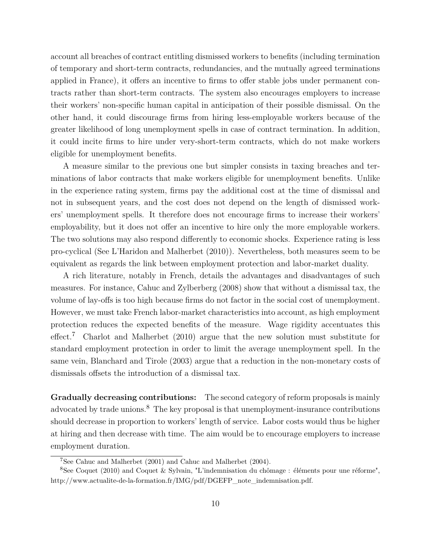account all breaches of contract entitling dismissed workers to benefits (including termination of temporary and short-term contracts, redundancies, and the mutually agreed terminations applied in France), it offers an incentive to firms to offer stable jobs under permanent contracts rather than short-term contracts. The system also encourages employers to increase their workers' non-specific human capital in anticipation of their possible dismissal. On the other hand, it could discourage firms from hiring less-employable workers because of the greater likelihood of long unemployment spells in case of contract termination. In addition, it could incite firms to hire under very-short-term contracts, which do not make workers eligible for unemployment benefits.

A measure similar to the previous one but simpler consists in taxing breaches and terminations of labor contracts that make workers eligible for unemployment benefits. Unlike in the experience rating system, firms pay the additional cost at the time of dismissal and not in subsequent years, and the cost does not depend on the length of dismissed workers' unemployment spells. It therefore does not encourage firms to increase their workers' employability, but it does not offer an incentive to hire only the more employable workers. The two solutions may also respond differently to economic shocks. Experience rating is less pro-cyclical (See L'Haridon and Malherbet (2010)). Nevertheless, both measures seem to be equivalent as regards the link between employment protection and labor-market duality.

A rich literature, notably in French, details the advantages and disadvantages of such measures. For instance, Cahuc and Zylberberg (2008) show that without a dismissal tax, the volume of lay-offs is too high because firms do not factor in the social cost of unemployment. However, we must take French labor-market characteristics into account, as high employment protection reduces the expected benefits of the measure. Wage rigidity accentuates this effect.<sup>7</sup> Charlot and Malherbet (2010) argue that the new solution must substitute for standard employment protection in order to limit the average unemployment spell. In the same vein, Blanchard and Tirole (2003) argue that a reduction in the non-monetary costs of dismissals offsets the introduction of a dismissal tax.

**Gradually decreasing contributions:** The second category of reform proposals is mainly advocated by trade unions.<sup>8</sup> The key proposal is that unemployment-insurance contributions should decrease in proportion to workers' length of service. Labor costs would thus be higher at hiring and then decrease with time. The aim would be to encourage employers to increase employment duration.

<sup>7</sup>See Cahuc and Malherbet (2001) and Cahuc and Malherbet (2004).

<sup>&</sup>lt;sup>8</sup>See Coquet (2010) and Coquet & Sylvain, "L'indemnisation du chômage : éléments pour une réforme", http:*//*www.actualite-de-la-formation.fr*/*IMG*/*pdf*/*DGEFP\_note\_indemnisation.pdf.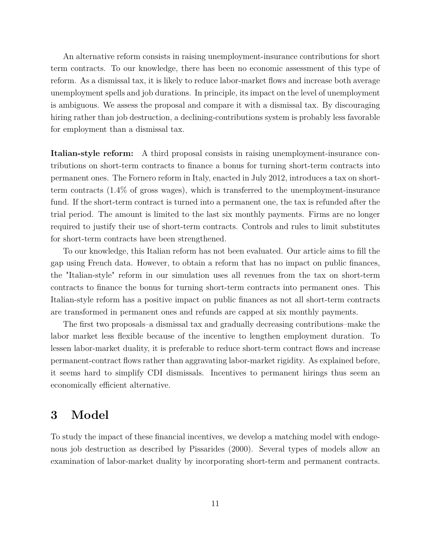An alternative reform consists in raising unemployment-insurance contributions for short term contracts. To our knowledge, there has been no economic assessment of this type of reform. As a dismissal tax, it is likely to reduce labor-market flows and increase both average unemployment spells and job durations. In principle, its impact on the level of unemployment is ambiguous. We assess the proposal and compare it with a dismissal tax. By discouraging hiring rather than job destruction, a declining-contributions system is probably less favorable for employment than a dismissal tax.

**Italian-style reform:** A third proposal consists in raising unemployment-insurance contributions on short-term contracts to finance a bonus for turning short-term contracts into permanent ones. The Fornero reform in Italy, enacted in July 2012, introduces a tax on shortterm contracts (1.4% of gross wages), which is transferred to the unemployment-insurance fund. If the short-term contract is turned into a permanent one, the tax is refunded after the trial period. The amount is limited to the last six monthly payments. Firms are no longer required to justify their use of short-term contracts. Controls and rules to limit substitutes for short-term contracts have been strengthened.

To our knowledge, this Italian reform has not been evaluated. Our article aims to fill the gap using French data. However, to obtain a reform that has no impact on public finances, the "Italian-style" reform in our simulation uses all revenues from the tax on short-term contracts to finance the bonus for turning short-term contracts into permanent ones. This Italian-style reform has a positive impact on public finances as not all short-term contracts are transformed in permanent ones and refunds are capped at six monthly payments.

The first two proposals–a dismissal tax and gradually decreasing contributions–make the labor market less flexible because of the incentive to lengthen employment duration. To lessen labor-market duality, it is preferable to reduce short-term contract flows and increase permanent-contract flows rather than aggravating labor-market rigidity. As explained before, it seems hard to simplify CDI dismissals. Incentives to permanent hirings thus seem an economically efficient alternative.

### **3 Model**

To study the impact of these financial incentives, we develop a matching model with endogenous job destruction as described by Pissarides (2000). Several types of models allow an examination of labor-market duality by incorporating short-term and permanent contracts.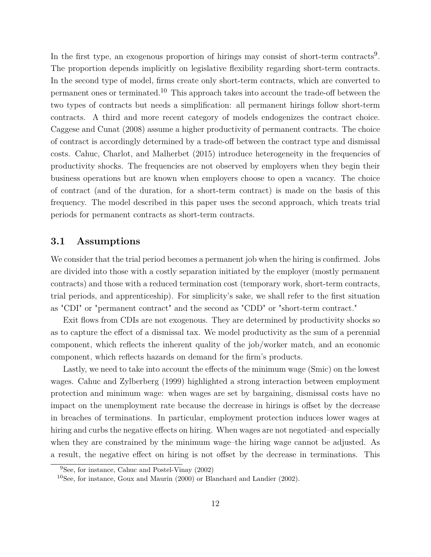In the first type, an exogenous proportion of hirings may consist of short-term contracts<sup>9</sup>. The proportion depends implicitly on legislative flexibility regarding short-term contracts. In the second type of model, firms create only short-term contracts, which are converted to permanent ones or terminated.<sup>10</sup> This approach takes into account the trade-off between the two types of contracts but needs a simplification: all permanent hirings follow short-term contracts. A third and more recent category of models endogenizes the contract choice. Caggese and Cunat (2008) assume a higher productivity of permanent contracts. The choice of contract is accordingly determined by a trade-off between the contract type and dismissal costs. Cahuc, Charlot, and Malherbet (2015) introduce heterogeneity in the frequencies of productivity shocks. The frequencies are not observed by employers when they begin their business operations but are known when employers choose to open a vacancy. The choice of contract (and of the duration, for a short-term contract) is made on the basis of this frequency. The model described in this paper uses the second approach, which treats trial periods for permanent contracts as short-term contracts.

### **3.1 Assumptions**

We consider that the trial period becomes a permanent job when the hiring is confirmed. Jobs are divided into those with a costly separation initiated by the employer (mostly permanent contracts) and those with a reduced termination cost (temporary work, short-term contracts, trial periods, and apprenticeship). For simplicity's sake, we shall refer to the first situation as "CDI" or "permanent contract" and the second as "CDD" or "short-term contract."

Exit flows from CDIs are not exogenous. They are determined by productivity shocks so as to capture the effect of a dismissal tax. We model productivity as the sum of a perennial component, which reflects the inherent quality of the job/worker match, and an economic component, which reflects hazards on demand for the firm's products.

Lastly, we need to take into account the effects of the minimum wage (Smic) on the lowest wages. Cahuc and Zylberberg (1999) highlighted a strong interaction between employment protection and minimum wage: when wages are set by bargaining, dismissal costs have no impact on the unemployment rate because the decrease in hirings is offset by the decrease in breaches of terminations. In particular, employment protection induces lower wages at hiring and curbs the negative effects on hiring. When wages are not negotiated–and especially when they are constrained by the minimum wage–the hiring wage cannot be adjusted. As a result, the negative effect on hiring is not offset by the decrease in terminations. This

<sup>9</sup>See, for instance, Cahuc and Postel-Vinay (2002)

 $10$ See, for instance, Goux and Maurin (2000) or Blanchard and Landier (2002).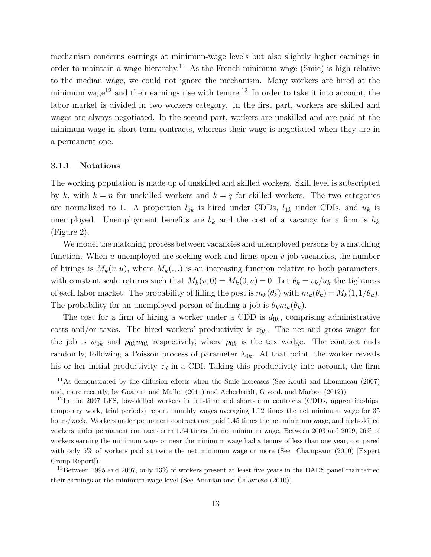mechanism concerns earnings at minimum-wage levels but also slightly higher earnings in order to maintain a wage hierarchy.<sup>11</sup> As the French minimum wage (Smic) is high relative to the median wage, we could not ignore the mechanism. Many workers are hired at the minimum wage<sup>12</sup> and their earnings rise with tenure.<sup>13</sup> In order to take it into account, the labor market is divided in two workers category. In the first part, workers are skilled and wages are always negotiated. In the second part, workers are unskilled and are paid at the minimum wage in short-term contracts, whereas their wage is negotiated when they are in a permanent one.

#### **3.1.1 Notations**

The working population is made up of unskilled and skilled workers. Skill level is subscripted by  $k$ , with  $k = n$  for unskilled workers and  $k = q$  for skilled workers. The two categories are normalized to 1. A proportion  $l_{0k}$  is hired under CDDs,  $l_{1k}$  under CDIs, and  $u_k$  is unemployed. Unemployment benefits are  $b_k$  and the cost of a vacancy for a firm is  $h_k$ (Figure 2).

We model the matching process between vacancies and unemployed persons by a matching function. When *u* unemployed are seeking work and firms open *v* job vacancies, the number of hirings is  $M_k(v, u)$ , where  $M_k(.,.)$  is an increasing function relative to both parameters, with constant scale returns such that  $M_k(v,0) = M_k(0,u) = 0$ . Let  $\theta_k = v_k/u_k$  the tightness of each labor market. The probability of filling the post is  $m_k(\theta_k)$  with  $m_k(\theta_k) = M_k(1, 1/\theta_k)$ . The probability for an unemployed person of finding a job is  $\theta_k m_k(\theta_k)$ .

The cost for a firm of hiring a worker under a CDD is  $d_{0k}$ , comprising administrative costs and/or taxes. The hired workers' productivity is  $z_{0k}$ . The net and gross wages for the job is  $w_{0k}$  and  $\rho_{0k}w_{0k}$  respectively, where  $\rho_{0k}$  is the tax wedge. The contract ends randomly, following a Poisson process of parameter  $\lambda_{0k}$ . At that point, the worker reveals his or her initial productivity  $z_d$  in a CDI. Taking this productivity into account, the firm

<sup>&</sup>lt;sup>11</sup>As demonstrated by the diffusion effects when the Smic increases (See Koubi and Lhommeau (2007) and, more recently, by Goarant and Muller (2011) and Aeberhardt, Givord, and Marbot (2012)).

 $12$ In the 2007 LFS, low-skilled workers in full-time and short-term contracts (CDDs, apprenticeships, temporary work, trial periods) report monthly wages averaging 1.12 times the net minimum wage for 35 hours/week. Workers under permanent contracts are paid 1.45 times the net minimum wage, and high-skilled workers under permanent contracts earn 1.64 times the net minimum wage. Between 2003 and 2009, 26% of workers earning the minimum wage or near the minimum wage had a tenure of less than one year, compared with only 5% of workers paid at twice the net minimum wage or more (See Champsaur (2010) [Expert Group Report]).

<sup>&</sup>lt;sup>13</sup>Between 1995 and 2007, only 13% of workers present at least five years in the DADS panel maintained their earnings at the minimum-wage level (See Ananian and Calavrezo (2010)).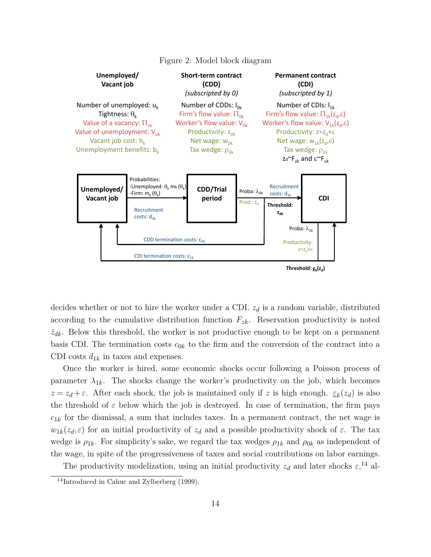

Figure 2: Model block diagram

decides whether or not to hire the worker under a CDI. *z<sup>d</sup>* is a random variable, distributed according to the cumulative distribution function  $F_{z\hat{k}}$ . Reservation productivity is noted  $\tilde{z}_{dk}$ . Below this threshold, the worker is not productive enough to be kept on a permanent basis CDI. The termination costs  $c_{0k}$  to the firm and the conversion of the contract into a CDI costs  $d_{1k}$  in taxes and expenses.

Once the worker is hired, some economic shocks occur following a Poisson process of parameter  $\lambda_{1k}$ . The shocks change the worker's productivity on the job, which becomes  $z = z_d + \varepsilon$ . After each shock, the job is maintained only if *z* is high enough.  $\epsilon_k(z_d)$  is also the threshold of  $\varepsilon$  below which the job is destroyed. In case of termination, the firm pays  $c_{1k}$  for the dismissal, a sum that includes taxes. In a permanent contract, the net wage is  $w_{1k}(z_d,\varepsilon)$  for an initial productivity of  $z_d$  and a possible productivity shock of  $\varepsilon$ . The tax wedge is  $\rho_{1k}$ . For simplicity's sake, we regard the tax wedges  $\rho_{1k}$  and  $\rho_{0k}$  as independent of the wage, in spite of the progressiveness of taxes and social contributions on labor earnings.

The productivity modelization, using an initial productivity  $z_d$  and later shocks  $\varepsilon$ ,<sup>14</sup>, al-

<sup>&</sup>lt;sup>14</sup>Introduced in Cahuc and Zylberberg (1999).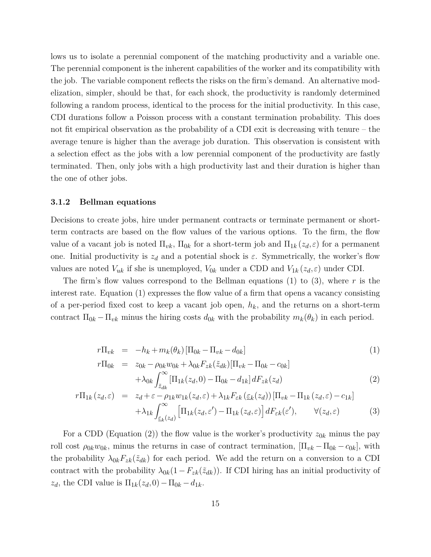lows us to isolate a perennial component of the matching productivity and a variable one. The perennial component is the inherent capabilities of the worker and its compatibility with the job. The variable component reflects the risks on the firm's demand. An alternative modelization, simpler, should be that, for each shock, the productivity is randomly determined following a random process, identical to the process for the initial productivity. In this case, CDI durations follow a Poisson process with a constant termination probability. This does not fit empirical observation as the probability of a CDI exit is decreasing with tenure – the average tenure is higher than the average job duration. This observation is consistent with a selection effect as the jobs with a low perennial component of the productivity are fastly terminated. Then, only jobs with a high productivity last and their duration is higher than the one of other jobs.

#### **3.1.2 Bellman equations**

Decisions to create jobs, hire under permanent contracts or terminate permanent or shortterm contracts are based on the flow values of the various options. To the firm, the flow value of a vacant job is noted  $\Pi_{vk}$ ,  $\Pi_{0k}$  for a short-term job and  $\Pi_{1k}(z_d,\varepsilon)$  for a permanent one. Initial productivity is  $z_d$  and a potential shock is  $\varepsilon$ . Symmetrically, the worker's flow values are noted  $V_{uk}$  if she is unemployed,  $V_{0k}$  under a CDD and  $V_{1k}(z_d, \varepsilon)$  under CDI.

The firm's flow values correspond to the Bellman equations (1) to (3), where *r* is the interest rate. Equation (1) expresses the flow value of a firm that opens a vacancy consisting of a per-period fixed cost to keep a vacant job open, *hk*, and the returns on a short-term contract  $\Pi_{0k} - \Pi_{vk}$  minus the hiring costs  $d_{0k}$  with the probability  $m_k(\theta_k)$  in each period.

$$
r\Pi_{vk} = -h_k + m_k(\theta_k) [\Pi_{0k} - \Pi_{vk} - d_{0k}]
$$
  
\n
$$
r\Pi_{0k} = z_{0k} - \rho_{0k}w_{0k} + \lambda_{0k}F_{zk}(\tilde{z}_{dk})[\Pi_{vk} - \Pi_{0k} - c_{0k}]
$$
\n(1)

$$
\begin{aligned}\n\varepsilon &= -\omega_{0k} - \rho_{0k}\omega_{0k} + \lambda_{0k}I_{zk}(\omega_{dk})\left[11_{vk} - 11_{0k} - 10_{k}\right] \\
&+ \lambda_{0k}\int_{\tilde{z}_{dk}}^{\infty} \left[\Pi_{1k}(z_d, 0) - \Pi_{0k} - d_{1k}\right] dF_{zk}(z_d)\n\end{aligned} \tag{2}
$$

$$
r\Pi_{1k}(z_d,\varepsilon) = z_d + \varepsilon - \rho_{1k} w_{1k}(z_d,\varepsilon) + \lambda_{1k} F_{\varepsilon k}(\varepsilon_k(z_d)) [\Pi_{vk} - \Pi_{1k}(z_d,\varepsilon) - c_{1k}] + \lambda_{1k} \int_{\varepsilon_k(z_d)}^{\infty} [\Pi_{1k}(z_d,\varepsilon') - \Pi_{1k}(z_d,\varepsilon)] dF_{\varepsilon k}(\varepsilon'), \qquad \forall (z_d,\varepsilon)
$$
(3)

For a CDD (Equation (2)) the flow value is the worker's productivity  $z_{0k}$  minus the pay roll cost  $\rho_{0k}w_{0k}$ , minus the returns in case of contract termination,  $[\Pi_{vk} - \Pi_{0k} - c_{0k}]$ , with the probability  $\lambda_{0k}F_{zk}(\tilde{z}_{dk})$  for each period. We add the return on a conversion to a CDI contract with the probability  $\lambda_{0k}(1-F_{zk}(\tilde{z}_{dk}))$ . If CDI hiring has an initial productivity of  $z_d$ , the CDI value is  $\Pi_{1k}(z_d, 0) - \Pi_{0k} - d_{1k}$ .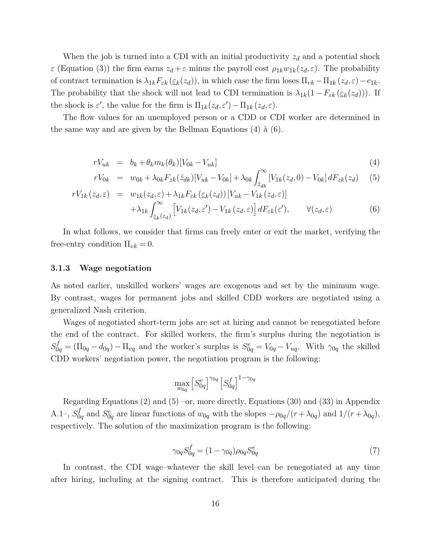When the job is turned into a CDI with an initial productivity  $z_d$  and a potential shock *ε* (Equation (3)) the firm earns  $z_d + \varepsilon$  minus the payroll cost  $\rho_{1k}w_{1k}(z_d, \varepsilon)$ . The probability of contract termination is  $\lambda_{1k} F_{\varepsilon k}(\underline{\varepsilon}_k(z_d))$ , in which case the firm loses  $\Pi_{vk} - \Pi_{1k}(z_d, \varepsilon) - c_{1k}$ . The probability that the shock will not lead to CDI termination is  $\lambda_{1k}(1-F_{\varepsilon k}(\varepsilon_k(z_d)))$ . If the shock is  $\varepsilon'$ , the value for the firm is  $\Pi_{1k}(z_d,\varepsilon') - \Pi_{1k}(z_d,\varepsilon)$ .

The flow values for an unemployed person or a CDD or CDI worker are determined in the same way and are given by the Bellman Equations (4) à (6).

$$
rV_{uk} = b_k + \theta_k m_k(\theta_k)[V_{0k} - V_{uk}] \tag{4}
$$

$$
rV_{0k} = w_{0k} + \lambda_{0k} F_{zk}(\tilde{z}_{dk}) [V_{uk} - V_{0k}] + \lambda_{0k} \int_{\tilde{z}_{dk}}^{\infty} [V_{1k}(z_d, 0) - V_{0k}] dF_{zk}(z_d)
$$
 (5)

$$
rV_{1k}(z_d,\varepsilon) = w_{1k}(z_d,\varepsilon) + \lambda_{1k} F_{\varepsilon k}(\varepsilon_k(z_d)) [V_{uk} - V_{1k}(z_d,\varepsilon)] + \lambda_{1k} \int_{\varepsilon_k(z_d)}^{\infty} \left[ V_{1k}(z_d,\varepsilon') - V_{1k}(z_d,\varepsilon) \right] dF_{\varepsilon k}(\varepsilon'), \qquad \forall (z_d,\varepsilon)
$$
(6)

In what follows, we consider that firms can freely enter or exit the market, verifying the free-entry condition  $\Pi_{vk} = 0$ .

#### **3.1.3 Wage negotiation**

As noted earlier, unskilled workers' wages are exogenous and set by the minimum wage. By contrast, wages for permanent jobs and skilled CDD workers are negotiated using a generalized Nash criterion.

Wages of negotiated short-term jobs are set at hiring and cannot be renegotiated before the end of the contract. For skilled workers, the firm's surplus during the negotiation is  $S_{0q}^f = (\Pi_{0q} - d_{0q}) - \Pi_{vq}$  and the worker's surplus is  $S_{0q}^e = V_{0q} - V_{uq}$ . With  $\gamma_{0q}$  the skilled CDD workers' negotiation power, the negotiation program is the following:

$$
\max_{w_{0q}} \left[ S^e_{0q} \right]^{\gamma_{0q}} \left[ S^f_{0q} \right]^{1-\gamma_{0q}}
$$

Regarding Equations (2) and (5) –or, more directly, Equations (30) and (33) in Appendix A.1–,  $S_0^f$  $\frac{d}{d}$  and  $S_{0q}^e$  are linear functions of  $w_{0q}$  with the slopes  $-\rho_{0q}/(r+\lambda_{0q})$  and  $1/(r+\lambda_{0q})$ , respectively. The solution of the maximization program is the following:

$$
\gamma_{0q} S_{0q}^f = (1 - \gamma_{0q}) \rho_{0q} S_{0q}^e \tag{7}
$$

In contrast, the CDI wage–whatever the skill level–can be renegotiated at any time after hiring, including at the signing contract. This is therefore anticipated during the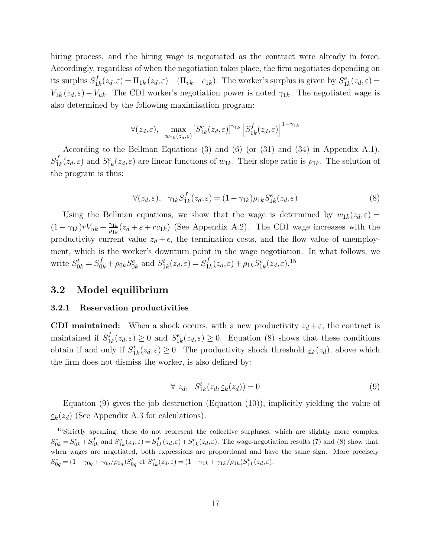hiring process, and the hiring wage is negotiated as the contract were already in force. Accordingly, regardless of when the negotiation takes place, the firm negotiates depending on its surplus *S f*  $\prod_k (z_d, \varepsilon) = \prod_{1k} (z_d, \varepsilon) - (\prod_{vk} - c_{1k})$ . The worker's surplus is given by  $S_{1k}^e(z_d, \varepsilon) =$ *V*<sub>1*k*</sub> (*z*<sub>*d*</sub>,*ε*) − *V*<sub>*uk*</sub>. The CDI worker's negotiation power is noted  $\gamma_{1k}$ . The negotiated wage is also determined by the following maximization program:

$$
\forall (z_d, \varepsilon), \quad \max_{w_{1k}(z_d, \varepsilon)} \left[ S_{1k}^e(z_d, \varepsilon) \right]^{\gamma_{1k}} \left[ S_{1k}^f(z_d, \varepsilon) \right]^{1 - \gamma_{1k}}
$$

According to the Bellman Equations (3) and (6) (or  $(31)$  and  $(34)$  in Appendix A.1),  $S_1^f$  $I_k(z_d, \varepsilon)$  and  $S_{1k}^e(z_d, \varepsilon)$  are linear functions of  $w_{1k}$ . Their slope ratio is  $\rho_{1k}$ . The solution of the program is thus:

$$
\forall (z_d, \varepsilon), \ \ \gamma_{1k} S_{1k}^f(z_d, \varepsilon) = (1 - \gamma_{1k}) \rho_{1k} S_{1k}^e(z_d, \varepsilon)
$$
\n
$$
(8)
$$

Using the Bellman equations, we show that the wage is determined by  $w_{1k}(z_d,\varepsilon) =$  $(1 - \gamma_{1k})rV_{uk} + \frac{\gamma_{1k}}{\rho_{1k}}$  $\frac{\gamma_{1k}}{\rho_{1k}}(z_d + \varepsilon + rc_{1k})$  (See Appendix A.2). The CDI wage increases with the productivity current value  $z_d + \epsilon$ , the termination costs, and the flow value of unemployment, which is the worker's downturn point in the wage negotiation. In what follows, we write  $S_{0k}^t = S_{0k}^f + \rho_{0k} S_{0k}^e$  and  $S_{1k}^t(z_d, \varepsilon) = S_1^f$  $\frac{f}{1k}(z_d, \varepsilon) + \rho_{1k} S_{1k}^e(z_d, \varepsilon).$ <sup>15</sup>

### **3.2 Model equilibrium**

#### **3.2.1 Reservation productivities**

**CDI maintained:** When a shock occurs, with a new productivity  $z_d + \varepsilon$ , the contract is maintained if *S f*  $1^f_{1k}(z_d,\varepsilon) \geq 0$  and  $S^e_{1k}(z_d,\varepsilon) \geq 0$ . Equation (8) shows that these conditions obtain if and only if  $S_{1k}^t(z_d, \varepsilon) \geq 0$ . The productivity shock threshold  $\varepsilon_k(z_d)$ , above which the firm does not dismiss the worker, is also defined by:

$$
\forall z_d, \quad S_{1k}^t(z_d, \underline{\varepsilon}_k(z_d)) = 0 \tag{9}
$$

Equation (9) gives the job destruction (Equation (10)), implicitly yielding the value of *εk* (*zd*) (See Appendix A.3 for calculations).

<sup>&</sup>lt;sup>15</sup>Strictly speaking, these do not represent the collective surpluses, which are slightly more complex:  $S_{0k}^c = S_{0k}^e + S_0^f$  $S_{1k}^{c}(z_d, \varepsilon) = S_1^f$  $\frac{f}{1k}(z_d,\varepsilon)+S_{1k}^e(z_d,\varepsilon)$ . The wage-negotiation results (7) and (8) show that, when wages are negotiated, both expressions are proportional and have the same sign. More precisely,  $S_{0q}^{c} = (1 - \gamma_{0q} + \gamma_{0q}/\rho_{0q})S_{0q}^{t}$  et  $S_{1k}^{c}(z_d, \varepsilon) = (1 - \gamma_{1k} + \gamma_{1k}/\rho_{1k})S_{1k}^{t}(z_d, \varepsilon).$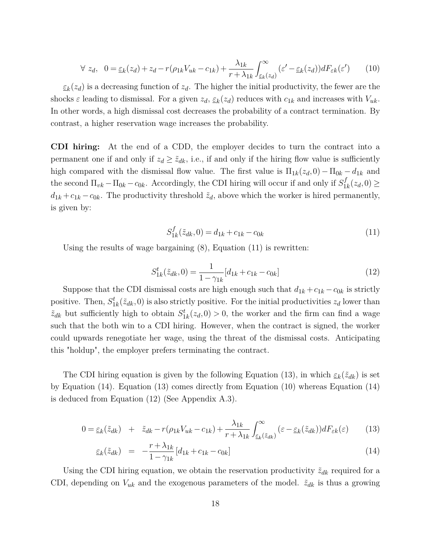$$
\forall z_d, \quad 0 = \underline{\varepsilon}_k(z_d) + z_d - r(\rho_{1k}V_{uk} - c_{1k}) + \frac{\lambda_{1k}}{r + \lambda_{1k}} \int_{\underline{\varepsilon}_k(z_d)}^{\infty} (\varepsilon' - \underline{\varepsilon}_k(z_d)) dF_{\varepsilon k}(\varepsilon') \tag{10}
$$

 $\varepsilon_k(z_d)$  is a decreasing function of  $z_d$ . The higher the initial productivity, the fewer are the shocks  $\varepsilon$  leading to dismissal. For a given  $z_d$ ,  $\underline{\varepsilon}_k(z_d)$  reduces with  $c_{1k}$  and increases with  $V_{uk}$ . In other words, a high dismissal cost decreases the probability of a contract termination. By contrast, a higher reservation wage increases the probability.

**CDI hiring:** At the end of a CDD, the employer decides to turn the contract into a permanent one if and only if  $z_d \geq \tilde{z}_{dk}$ , i.e., if and only if the hiring flow value is sufficiently high compared with the dismissal flow value. The first value is  $\Pi_{1k}(z_d,0) - \Pi_{0k} - d_{1k}$  and the second  $\Pi_{vk} - \Pi_{0k} - c_{0k}$ . Accordingly, the CDI hiring will occur if and only if  $S_1^f$  $\frac{J_1}{1k}(z_d,0) \geq$  $d_{1k} + c_{1k} - c_{0k}$ . The productivity threshold  $\tilde{z}_d$ , above which the worker is hired permanently, is given by:

$$
S_{1k}^f(\tilde{z}_{dk},0) = d_{1k} + c_{1k} - c_{0k}
$$
\n(11)

Using the results of wage bargaining (8), Equation (11) is rewritten:

$$
S_{1k}^{t}(\tilde{z}_{dk},0) = \frac{1}{1 - \gamma_{1k}}[d_{1k} + c_{1k} - c_{0k}]
$$
\n(12)

Suppose that the CDI dismissal costs are high enough such that  $d_{1k} + c_{1k} - c_{0k}$  is strictly positive. Then,  $S_{1k}^t(\tilde{z}_{dk},0)$  is also strictly positive. For the initial productivities  $z_d$  lower than  $\tilde{z}_{dk}$  but sufficiently high to obtain  $S_{1k}^{t}(z_d,0) > 0$ , the worker and the firm can find a wage such that the both win to a CDI hiring. However, when the contract is signed, the worker could upwards renegotiate her wage, using the threat of the dismissal costs. Anticipating this "holdup", the employer prefers terminating the contract.

The CDI hiring equation is given by the following Equation (13), in which  $\epsilon_k(\tilde{z}_{dk})$  is set by Equation (14). Equation (13) comes directly from Equation (10) whereas Equation (14) is deduced from Equation (12) (See Appendix A.3).

$$
0 = \underline{\varepsilon}_k(\tilde{z}_{dk}) + \tilde{z}_{dk} - r(\rho_{1k}V_{uk} - c_{1k}) + \frac{\lambda_{1k}}{r + \lambda_{1k}} \int_{\underline{\varepsilon}_k(\tilde{z}_{dk})}^{\infty} (\varepsilon - \underline{\varepsilon}_k(\tilde{z}_{dk})) dF_{\varepsilon k}(\varepsilon)
$$
(13)

$$
\underline{\varepsilon}_{k}(\tilde{z}_{dk}) = -\frac{r + \lambda_{1k}}{1 - \gamma_{1k}} [d_{1k} + c_{1k} - c_{0k}] \tag{14}
$$

Using the CDI hiring equation, we obtain the reservation productivity  $\tilde{z}_{dk}$  required for a CDI, depending on  $V_{uk}$  and the exogenous parameters of the model.  $\tilde{z}_{dk}$  is thus a growing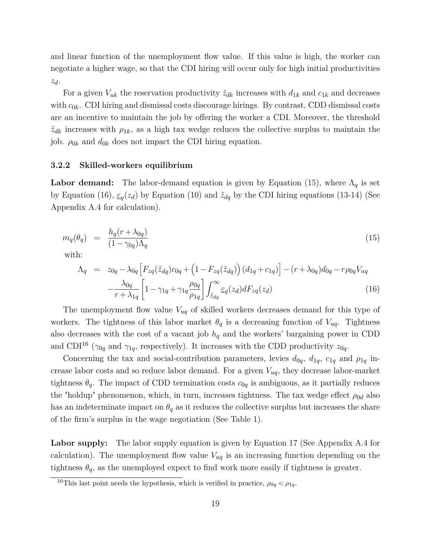and linear function of the unemployment flow value. If this value is high, the worker can negotiate a higher wage, so that the CDI hiring will occur only for high initial productivities *zd*.

For a given  $V_{uk}$  the reservation productivity  $\tilde{z}_{dk}$  increases with  $d_{1k}$  and  $c_{1k}$  and decreases with  $c_{0k}$ . CDI hiring and dismissal costs discourage hirings. By contrast, CDD dismissal costs are an incentive to maintain the job by offering the worker a CDI. Moreover, the threshold  $\tilde{z}_{dk}$  increases with  $\rho_{1k}$ , as a high tax wedge reduces the collective surplus to maintain the job.  $\rho_{0k}$  and  $d_{0k}$  does not impact the CDI hiring equation.

#### **3.2.2 Skilled-workers equilibrium**

**Labor demand:** The labor-demand equation is given by Equation (15), where  $\Lambda_q$  is set by Equation (16),  $\varepsilon_q(z_d)$  by Equation (10) and  $\tilde{z}_{dq}$  by the CDI hiring equations (13-14) (See Appendix A.4 for calculation).

$$
m_q(\theta_q) = \frac{h_q(r + \lambda_{0q})}{(1 - \gamma_{0q})\Lambda_q} \tag{15}
$$

with:

$$
\Lambda_q = z_{0q} - \lambda_{0q} \left[ F_{zq}(\tilde{z}_{dq}) c_{0q} + \left( 1 - F_{zq}(\tilde{z}_{dq}) \right) (d_{1q} + c_{1q}) \right] - (r + \lambda_{0q}) d_{0q} - r \rho_{0q} V_{uq}
$$

$$
- \frac{\lambda_{0q}}{r + \lambda_{1q}} \left[ 1 - \gamma_{1q} + \gamma_{1q} \frac{\rho_{0q}}{\rho_{1q}} \right] \int_{\tilde{z}_{dq}}^{\infty} \varepsilon_q(z_d) dF_{zq}(z_d)
$$
(16)

The unemployment flow value *Vuq* of skilled workers decreases demand for this type of workers. The tightness of this labor market  $\theta_q$  is a decreasing function of  $V_{uq}$ . Tightness also decreases with the cost of a vacant job  $h_q$  and the workers' bargaining power in CDD and CDI<sup>16</sup> ( $\gamma_{0q}$  and  $\gamma_{1q}$ , respectively). It increases with the CDD productivity  $z_{0q}$ .

Concerning the tax and social-contribution parameters, levies  $d_{0q}$ ,  $d_{1q}$ ,  $c_{1q}$  and  $\rho_{1q}$  increase labor costs and so reduce labor demand. For a given *Vuq*, they decrease labor-market tightness  $\theta_q$ . The impact of CDD termination costs  $c_{0q}$  is ambiguous, as it partially reduces the "holdup" phenomenon, which, in turn, increases tightness. The tax wedge effect  $\rho_{0d}$  also has an indeterminate impact on  $\theta_q$  as it reduces the collective surplus but increases the share of the firm's surplus in the wage negotiation (See Table 1).

Labor supply: The labor supply equation is given by Equation 17 (See Appendix A.4 for calculation). The unemployment flow value  $V_{uq}$  is an increasing function depending on the tightness  $\theta_q$ , as the unemployed expect to find work more easily if tightness is greater.

<sup>&</sup>lt;sup>16</sup>This last point needs the hypothesis, which is verified in practice,  $\rho_{0q} < \rho_{1q}$ .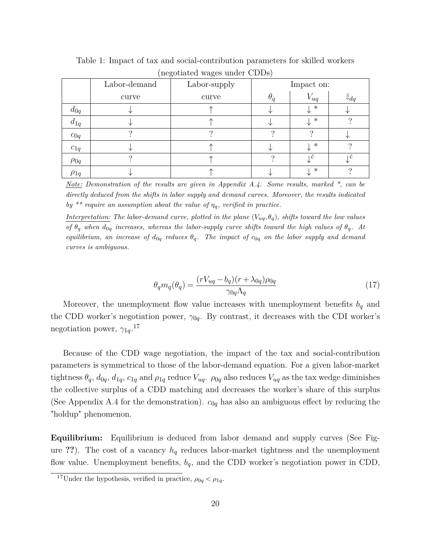|             |              | $\checkmark$<br>$\sim$ |            |            |                  |  |
|-------------|--------------|------------------------|------------|------------|------------------|--|
|             | Labor-demand | Labor-supply           |            | Impact on: |                  |  |
|             | curve        | curve                  | $\theta_a$ | $V_{uq}$   | $\tilde{z}_{dq}$ |  |
| $d_{0q}$    |              |                        |            | $\ast$     |                  |  |
| $d_{1q}$    |              |                        |            | $\ast$     |                  |  |
| $c_{0q}$    |              |                        |            |            |                  |  |
| $c_{1q}$    |              |                        |            | $\ast$     |                  |  |
| $\rho_{0q}$ |              |                        |            | C          |                  |  |
| $\rho_{1q}$ |              |                        |            | $\ast$     |                  |  |

Table 1: Impact of tax and social-contribution parameters for skilled workers (negotiated wages under CDDs)

*Note: Demonstration of the results are given in Appendix A.4. Some results, marked \*, can be directly deduced from the shifts in labor supply and demand curves. Moreover, the results indicated by* \*\* require an assumption about the value of  $\eta_q$ , verified in practice.

*Interpretation: The labor-demand curve, plotted in the plane*  $(V_{uq}, \theta_q)$ *, shifts toward the low values of*  $\theta_q$  *when*  $d_{0q}$  *increases, whereas the labor-supply curve shifts toward the high values of*  $\theta_q$ *. At equilibrium, an increase of*  $d_{0q}$  *reduces*  $\theta_q$ *. The impact of*  $c_{0q}$  *on the labor supply and demand curves is ambiguous.*

$$
\theta_q m_q(\theta_q) = \frac{(rV_{uq} - b_q)(r + \lambda_{0q})\rho_{0q}}{\gamma_{0q}\Lambda_q} \tag{17}
$$

Moreover, the unemployment flow value increases with unemployment benefits *b<sup>q</sup>* and the CDD worker's negotiation power, *γ*0*q*. By contrast, it decreases with the CDI worker's negotiation power, *γ*1*q*. 17

Because of the CDD wage negotiation, the impact of the tax and social-contribution parameters is symmetrical to those of the labor-demand equation. For a given labor-market tightness  $\theta_q$ ,  $d_{0q}$ ,  $d_{1q}$ ,  $c_{1q}$  and  $\rho_{1q}$  reduce  $V_{uq}$ .  $\rho_{0q}$  also reduces  $V_{uq}$  as the tax wedge diminishes the collective surplus of a CDD matching and decreases the worker's share of this surplus (See Appendix A.4 for the demonstration).  $c_{0q}$  has also an ambiguous effect by reducing the "holdup" phenomenon.

**Equilibrium:** Equilibrium is deduced from labor demand and supply curves (See Figure **??**). The cost of a vacancy *h<sup>q</sup>* reduces labor-market tightness and the unemployment flow value. Unemployment benefits, *bq*, and the CDD worker's negotiation power in CDD,

<sup>&</sup>lt;sup>17</sup>Under the hypothesis, verified in practice,  $\rho_{0q} < \rho_{1q}$ .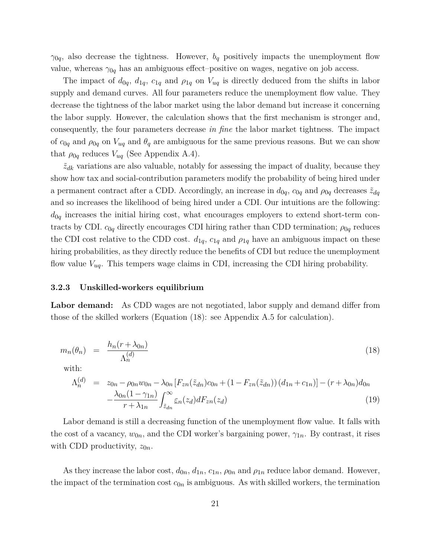$\gamma_{0q}$ , also decrease the tightness. However,  $b_q$  positively impacts the unemployment flow value, whereas  $\gamma_{0q}$  has an ambiguous effect–positive on wages, negative on job access.

The impact of  $d_{0q}$ ,  $d_{1q}$ ,  $c_{1q}$  and  $\rho_{1q}$  on  $V_{uq}$  is directly deduced from the shifts in labor supply and demand curves. All four parameters reduce the unemployment flow value. They decrease the tightness of the labor market using the labor demand but increase it concerning the labor supply. However, the calculation shows that the first mechanism is stronger and, consequently, the four parameters decrease *in fine* the labor market tightness. The impact of  $c_{0q}$  and  $\rho_{0q}$  on  $V_{uq}$  and  $\theta_q$  are ambiguous for the same previous reasons. But we can show that  $\rho_{0q}$  reduces  $V_{uq}$  (See Appendix A.4).

 $\tilde{z}_{dk}$  variations are also valuable, notably for assessing the impact of duality, because they show how tax and social-contribution parameters modify the probability of being hired under a permanent contract after a CDD. Accordingly, an increase in  $d_{0q}$ ,  $c_{0q}$  and  $\rho_{0q}$  decreases  $\tilde{z}_{dq}$ and so increases the likelihood of being hired under a CDI. Our intuitions are the following:  $d_{0q}$  increases the initial hiring cost, what encourages employers to extend short-term contracts by CDI.  $c_{0q}$  directly encourages CDI hiring rather than CDD termination;  $\rho_{0q}$  reduces the CDI cost relative to the CDD cost.  $d_{1q}$ ,  $c_{1q}$  and  $\rho_{1q}$  have an ambiguous impact on these hiring probabilities, as they directly reduce the benefits of CDI but reduce the unemployment flow value *Vuq*. This tempers wage claims in CDI, increasing the CDI hiring probability.

#### **3.2.3 Unskilled-workers equilibrium**

Labor demand: As CDD wages are not negotiated, labor supply and demand differ from those of the skilled workers (Equation (18): see Appendix A.5 for calculation).

$$
m_n(\theta_n) = \frac{h_n(r + \lambda_{0n})}{\Lambda_n^{(d)}} \tag{18}
$$

with:

$$
\Lambda_n^{(d)} = z_{0n} - \rho_{0n} w_{0n} - \lambda_{0n} \left[ F_{zn}(\tilde{z}_{dn}) c_{0n} + (1 - F_{zn}(\tilde{z}_{dn})) (d_{1n} + c_{1n}) \right] - (r + \lambda_{0n}) d_{0n} - \frac{\lambda_{0n} (1 - \gamma_{1n})}{r + \lambda_{1n}} \int_{\tilde{z}_{dn}}^{\infty} \underline{\epsilon}_n(z_d) dF_{zn}(z_d)
$$
\n(19)

Labor demand is still a decreasing function of the unemployment flow value. It falls with the cost of a vacancy,  $w_{0n}$ , and the CDI worker's bargaining power,  $\gamma_{1n}$ . By contrast, it rises with CDD productivity,  $z_{0n}$ .

As they increase the labor cost,  $d_{0n}$ ,  $d_{1n}$ ,  $c_{1n}$ ,  $\rho_{0n}$  and  $\rho_{1n}$  reduce labor demand. However, the impact of the termination cost  $c_{0n}$  is ambiguous. As with skilled workers, the termination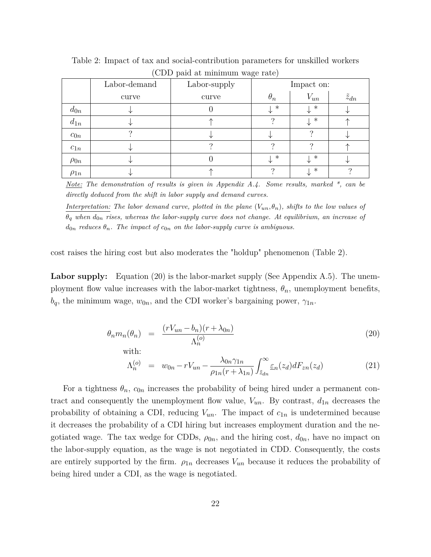|             | Labor-demand | .<br>$\sim$ $\sim$ $\sim$ $\sim$ $\sim$ $\sim$ $\sim$<br>Labor-supply | Impact on:     |          |                  |
|-------------|--------------|-----------------------------------------------------------------------|----------------|----------|------------------|
|             | curve        | curve                                                                 | $\theta_n$     | $V_{un}$ | $\tilde{z}_{dn}$ |
| $d_{0n}$    |              |                                                                       | $\downarrow$ * | $\ast$   |                  |
| $d_{1n}$    |              |                                                                       |                | $\ast$   |                  |
| $c_{0n}$    |              |                                                                       |                |          |                  |
| $c_{1n}$    |              |                                                                       | ິ              |          |                  |
| $\rho_{0n}$ |              |                                                                       | *              | $\ast$   |                  |
| $\rho_{1n}$ |              |                                                                       |                | $\ast$   |                  |

Table 2: Impact of tax and social-contribution parameters for unskilled workers (CDD paid at minimum wage rate)

*Note: The demonstration of results is given in Appendix A.4. Some results, marked \*, can be directly deduced from the shift in labor supply and demand curves.*

*Interpretation: The labor demand curve, plotted in the plane*  $(V_{un}, \theta_n)$ *, shifts to the low values of*  $\theta_q$  when  $d_{0n}$  rises, whereas the labor-supply curve does not change. At equilibrium, an increase of  $d_{0n}$  *reduces*  $\theta_n$ *. The impact of*  $c_{0n}$  *on the labor-supply curve is ambiguous.* 

cost raises the hiring cost but also moderates the "holdup" phenomenon (Table 2).

**Labor supply:** Equation (20) is the labor-market supply (See Appendix A.5). The unemployment flow value increases with the labor-market tightness,  $\theta_n$ , unemployment benefits,  $b_q$ , the minimum wage,  $w_{0n}$ , and the CDI worker's bargaining power,  $\gamma_{1n}$ .

$$
\theta_n m_n(\theta_n) = \frac{(rV_{un} - b_n)(r + \lambda_{0n})}{\Lambda_n^{(o)}} \tag{20}
$$

with:

$$
\Lambda_n^{(o)} = w_{0n} - rV_{un} - \frac{\lambda_{0n}\gamma_{1n}}{\rho_{1n}(r + \lambda_{1n})} \int_{\tilde{z}_{dn}}^{\infty} \varepsilon_n(z_d) dF_{zn}(z_d)
$$
\n(21)

For a tightness  $\theta_n$ ,  $c_{0n}$  increases the probability of being hired under a permanent contract and consequently the unemployment flow value,  $V_{un}$ . By contrast,  $d_{1n}$  decreases the probability of obtaining a CDI, reducing  $V_{un}$ . The impact of  $c_{1n}$  is undetermined because it decreases the probability of a CDI hiring but increases employment duration and the negotiated wage. The tax wedge for CDDs,  $\rho_{0n}$ , and the hiring cost,  $d_{0n}$ , have no impact on the labor-supply equation, as the wage is not negotiated in CDD. Consequently, the costs are entirely supported by the firm.  $\rho_{1n}$  decreases  $V_{un}$  because it reduces the probability of being hired under a CDI, as the wage is negotiated.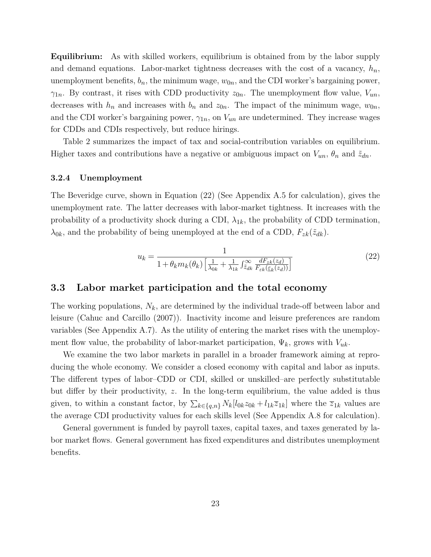**Equilibrium:** As with skilled workers, equilibrium is obtained from by the labor supply and demand equations. Labor-market tightness decreases with the cost of a vacancy, *hn*, unemployment benefits,  $b_n$ , the minimum wage,  $w_{0n}$ , and the CDI worker's bargaining power, *γ*<sub>1*n*</sub>. By contrast, it rises with CDD productivity  $z_{0n}$ . The unemployment flow value,  $V_{un}$ , decreases with  $h_n$  and increases with  $b_n$  and  $z_{0n}$ . The impact of the minimum wage,  $w_{0n}$ , and the CDI worker's bargaining power,  $\gamma_{1n}$ , on  $V_{un}$  are undetermined. They increase wages for CDDs and CDIs respectively, but reduce hirings.

Table 2 summarizes the impact of tax and social-contribution variables on equilibrium. Higher taxes and contributions have a negative or ambiguous impact on  $V_{un}$ ,  $\theta_n$  and  $\tilde{z}_{dn}$ .

#### **3.2.4 Unemployment**

The Beveridge curve, shown in Equation (22) (See Appendix A.5 for calculation), gives the unemployment rate. The latter decreases with labor-market tightness. It increases with the probability of a productivity shock during a CDI,  $\lambda_{1k}$ , the probability of CDD termination,  $\lambda_{0k}$ , and the probability of being unemployed at the end of a CDD,  $F_{zk}(\tilde{z}_{dk})$ .

$$
u_k = \frac{1}{1 + \theta_k m_k(\theta_k) \left[ \frac{1}{\lambda_{0k}} + \frac{1}{\lambda_{1k}} \int_{\tilde{z}_{dk}}^{\infty} \frac{dF_{zk}(z_d)}{F_{\varepsilon_k}(\varepsilon_k(z_d))} \right]}
$$
(22)

### **3.3 Labor market participation and the total economy**

The working populations, *Nk*, are determined by the individual trade-off between labor and leisure (Cahuc and Carcillo (2007)). Inactivity income and leisure preferences are random variables (See Appendix A.7). As the utility of entering the market rises with the unemployment flow value, the probability of labor-market participation,  $\Psi_k$ , grows with  $V_{uk}$ .

We examine the two labor markets in parallel in a broader framework aiming at reproducing the whole economy. We consider a closed economy with capital and labor as inputs. The different types of labor–CDD or CDI, skilled or unskilled–are perfectly substitutable but differ by their productivity, *z*. In the long-term equilibrium, the value added is thus given, to within a constant factor, by  $\sum_{k \in \{q,n\}} N_k[l_{0k}z_{0k} + l_{1k}\overline{z}_{1k}]$  where the  $\overline{z}_{1k}$  values are the average CDI productivity values for each skills level (See Appendix A.8 for calculation).

General government is funded by payroll taxes, capital taxes, and taxes generated by labor market flows. General government has fixed expenditures and distributes unemployment benefits.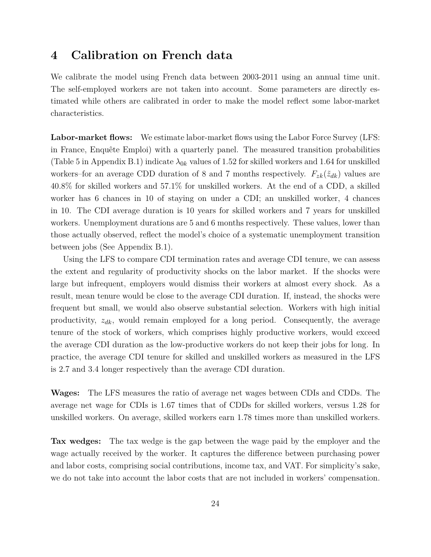### **4 Calibration on French data**

We calibrate the model using French data between 2003-2011 using an annual time unit. The self-employed workers are not taken into account. Some parameters are directly estimated while others are calibrated in order to make the model reflect some labor-market characteristics.

**Labor-market flows:** We estimate labor-market flows using the Labor Force Survey (LFS: in France, Enquête Emploi) with a quarterly panel. The measured transition probabilities (Table 5 in Appendix B.1) indicate  $\lambda_{0k}$  values of 1.52 for skilled workers and 1.64 for unskilled workers–for an average CDD duration of 8 and 7 months respectively.  $F_{zk}(\tilde{z}_{dk})$  values are 40.8% for skilled workers and 57.1% for unskilled workers. At the end of a CDD, a skilled worker has 6 chances in 10 of staying on under a CDI; an unskilled worker, 4 chances in 10. The CDI average duration is 10 years for skilled workers and 7 years for unskilled workers. Unemployment durations are 5 and 6 months respectively. These values, lower than those actually observed, reflect the model's choice of a systematic unemployment transition between jobs (See Appendix B.1).

Using the LFS to compare CDI termination rates and average CDI tenure, we can assess the extent and regularity of productivity shocks on the labor market. If the shocks were large but infrequent, employers would dismiss their workers at almost every shock. As a result, mean tenure would be close to the average CDI duration. If, instead, the shocks were frequent but small, we would also observe substantial selection. Workers with high initial productivity, *zdk*, would remain employed for a long period. Consequently, the average tenure of the stock of workers, which comprises highly productive workers, would exceed the average CDI duration as the low-productive workers do not keep their jobs for long. In practice, the average CDI tenure for skilled and unskilled workers as measured in the LFS is 2.7 and 3.4 longer respectively than the average CDI duration.

**Wages:** The LFS measures the ratio of average net wages between CDIs and CDDs. The average net wage for CDIs is 1.67 times that of CDDs for skilled workers, versus 1.28 for unskilled workers. On average, skilled workers earn 1.78 times more than unskilled workers.

**Tax wedges:** The tax wedge is the gap between the wage paid by the employer and the wage actually received by the worker. It captures the difference between purchasing power and labor costs, comprising social contributions, income tax, and VAT. For simplicity's sake, we do not take into account the labor costs that are not included in workers' compensation.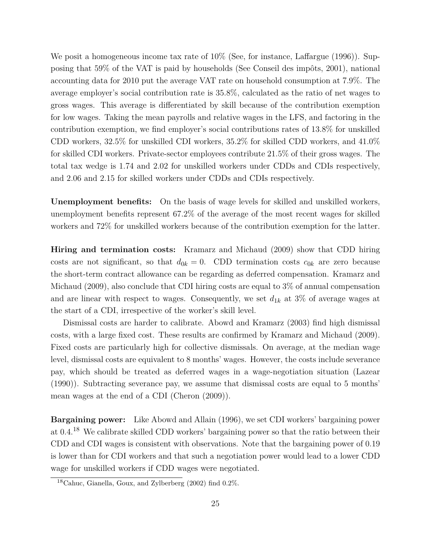We posit a homogeneous income tax rate of  $10\%$  (See, for instance, Laffargue (1996)). Supposing that 59% of the VAT is paid by households (See Conseil des impôts, 2001), national accounting data for 2010 put the average VAT rate on household consumption at 7.9%. The average employer's social contribution rate is 35.8%, calculated as the ratio of net wages to gross wages. This average is differentiated by skill because of the contribution exemption for low wages. Taking the mean payrolls and relative wages in the LFS, and factoring in the contribution exemption, we find employer's social contributions rates of 13.8% for unskilled CDD workers, 32.5% for unskilled CDI workers, 35.2% for skilled CDD workers, and 41.0% for skilled CDI workers. Private-sector employees contribute 21.5% of their gross wages. The total tax wedge is 1.74 and 2.02 for unskilled workers under CDDs and CDIs respectively, and 2.06 and 2.15 for skilled workers under CDDs and CDIs respectively.

**Unemployment benefits:** On the basis of wage levels for skilled and unskilled workers, unemployment benefits represent 67.2% of the average of the most recent wages for skilled workers and 72% for unskilled workers because of the contribution exemption for the latter.

**Hiring and termination costs:** Kramarz and Michaud (2009) show that CDD hiring costs are not significant, so that  $d_{0k} = 0$ . CDD termination costs  $c_{0k}$  are zero because the short-term contract allowance can be regarding as deferred compensation. Kramarz and Michaud (2009), also conclude that CDI hiring costs are equal to 3% of annual compensation and are linear with respect to wages. Consequently, we set  $d_{1k}$  at 3% of average wages at the start of a CDI, irrespective of the worker's skill level.

Dismissal costs are harder to calibrate. Abowd and Kramarz (2003) find high dismissal costs, with a large fixed cost. These results are confirmed by Kramarz and Michaud (2009). Fixed costs are particularly high for collective dismissals. On average, at the median wage level, dismissal costs are equivalent to 8 months' wages. However, the costs include severance pay, which should be treated as deferred wages in a wage-negotiation situation (Lazear (1990)). Subtracting severance pay, we assume that dismissal costs are equal to 5 months' mean wages at the end of a CDI (Cheron (2009)).

**Bargaining power:** Like Abowd and Allain (1996), we set CDI workers' bargaining power at 0.4.<sup>18</sup> We calibrate skilled CDD workers' bargaining power so that the ratio between their CDD and CDI wages is consistent with observations. Note that the bargaining power of 0.19 is lower than for CDI workers and that such a negotiation power would lead to a lower CDD wage for unskilled workers if CDD wages were negotiated.

<sup>18</sup>Cahuc, Gianella, Goux, and Zylberberg (2002) find 0.2%.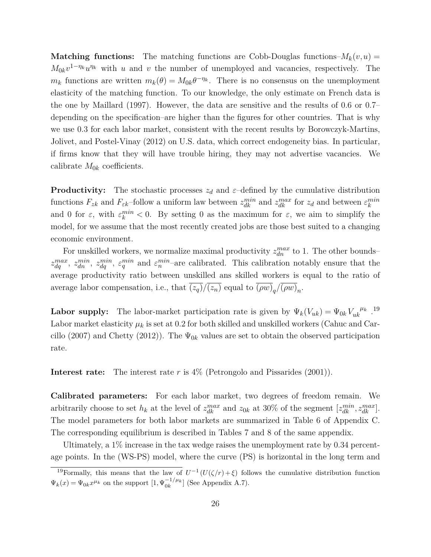**Matching functions:** The matching functions are Cobb-Douglas functions– $M_k(v, u)$  =  $M_{0k}v^{1-\eta_k}u^{\eta_k}$  with *u* and *v* the number of unemployed and vacancies, respectively. The  $m_k$  functions are written  $m_k(\theta) = M_{0k}\theta^{-\eta_k}$ . There is no consensus on the unemployment elasticity of the matching function. To our knowledge, the only estimate on French data is the one by Maillard (1997). However, the data are sensitive and the results of 0.6 or 0.7– depending on the specification–are higher than the figures for other countries. That is why we use 0.3 for each labor market, consistent with the recent results by Borowczyk-Martins, Jolivet, and Postel-Vinay (2012) on U.S. data, which correct endogeneity bias. In particular, if firms know that they will have trouble hiring, they may not advertise vacancies. We calibrate  $M_{0k}$  coefficients.

**Productivity:** The stochastic processes  $z_d$  and  $\varepsilon$ -defined by the cumulative distribution functions  $F_{zk}$  and  $F_{\varepsilon k}$ -follow a uniform law between  $z_{dk}^{min}$  and  $z_{dk}^{max}$  for  $z_d$  and between  $\varepsilon_k^{min}$ and 0 for  $\varepsilon$ , with  $\varepsilon_k^{min} < 0$ . By setting 0 as the maximum for  $\varepsilon$ , we aim to simplify the model, for we assume that the most recently created jobs are those best suited to a changing economic environment.

For unskilled workers, we normalize maximal productivity  $z_{dn}^{max}$  to 1. The other bounds–  $z_{dq}^{max}$ ,  $z_{dn}^{min}$ ,  $z_{dq}^{min}$ ,  $\varepsilon_q^{min}$  and  $\varepsilon_n^{min}$ -are calibrated. This calibration notably ensure that the average productivity ratio between unskilled ans skilled workers is equal to the ratio of average labor compensation, i.e., that  $(z_q)/(z_n)$  equal to  $(\rho w)_q/(\rho w)_n$ .

**Labor supply:** The labor-market participation rate is given by  $\Psi_k(V_{uk}) = \Psi_{0k} V_{uk}^{\mu_k}$ .<sup>19</sup> Labor market elasticity  $\mu_k$  is set at 0.2 for both skilled and unskilled workers (Cahuc and Carcillo (2007) and Chetty (2012)). The  $\Psi_{0k}$  values are set to obtain the observed participation rate.

**Interest rate:** The interest rate *r* is 4% (Petrongolo and Pissarides (2001)).

**Calibrated parameters:** For each labor market, two degrees of freedom remain. We arbitrarily choose to set  $h_k$  at the level of  $z_{dk}^{max}$  and  $z_{0k}$  at 30% of the segment  $[z_{dk}^{min}, z_{dk}^{max}]$ . The model parameters for both labor markets are summarized in Table 6 of Appendix C. The corresponding equilibrium is described in Tables 7 and 8 of the same appendix.

Ultimately, a 1% increase in the tax wedge raises the unemployment rate by 0.34 percentage points. In the (WS-PS) model, where the curve (PS) is horizontal in the long term and

<sup>&</sup>lt;sup>19</sup>Formally, this means that the law of  $U^{-1}(U(\zeta/r)+\xi)$  follows the cumulative distribution function  $\Psi_k(x) = \Psi_{0k} x^{\mu_k}$  on the support  $[1, \Psi_{0k}^{-1/\mu_k}]$  (See Appendix A.7).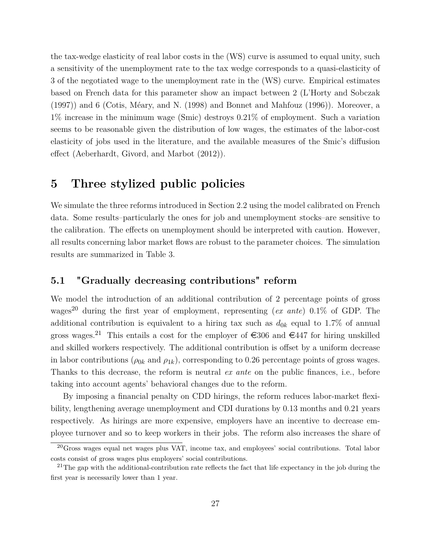the tax-wedge elasticity of real labor costs in the (WS) curve is assumed to equal unity, such a sensitivity of the unemployment rate to the tax wedge corresponds to a quasi-elasticity of 3 of the negotiated wage to the unemployment rate in the (WS) curve. Empirical estimates based on French data for this parameter show an impact between 2 (L'Horty and Sobczak (1997)) and 6 (Cotis, Méary, and N. (1998) and Bonnet and Mahfouz (1996)). Moreover, a 1% increase in the minimum wage (Smic) destroys 0.21% of employment. Such a variation seems to be reasonable given the distribution of low wages, the estimates of the labor-cost elasticity of jobs used in the literature, and the available measures of the Smic's diffusion effect (Aeberhardt, Givord, and Marbot (2012)).

### **5 Three stylized public policies**

We simulate the three reforms introduced in Section 2.2 using the model calibrated on French data. Some results–particularly the ones for job and unemployment stocks–are sensitive to the calibration. The effects on unemployment should be interpreted with caution. However, all results concerning labor market flows are robust to the parameter choices. The simulation results are summarized in Table 3.

### **5.1 "Gradually decreasing contributions" reform**

We model the introduction of an additional contribution of 2 percentage points of gross wages<sup>20</sup> during the first year of employment, representing (*ex ante*) 0.1% of GDP. The additional contribution is equivalent to a hiring tax such as  $d_{0k}$  equal to 1.7% of annual gross wages.<sup>21</sup> This entails a cost for the employer of  $\in$  306 and  $\in$  447 for hiring unskilled and skilled workers respectively. The additional contribution is offset by a uniform decrease in labor contributions ( $\rho_{0k}$  and  $\rho_{1k}$ ), corresponding to 0.26 percentage points of gross wages. Thanks to this decrease, the reform is neutral *ex ante* on the public finances, i.e., before taking into account agents' behavioral changes due to the reform.

By imposing a financial penalty on CDD hirings, the reform reduces labor-market flexibility, lengthening average unemployment and CDI durations by 0.13 months and 0.21 years respectively. As hirings are more expensive, employers have an incentive to decrease employee turnover and so to keep workers in their jobs. The reform also increases the share of

 $^{20}$ Gross wages equal net wages plus VAT, income tax, and employees' social contributions. Total labor costs consist of gross wages plus employers' social contributions.

 $21$ The gap with the additional-contribution rate reflects the fact that life expectancy in the job during the first year is necessarily lower than 1 year.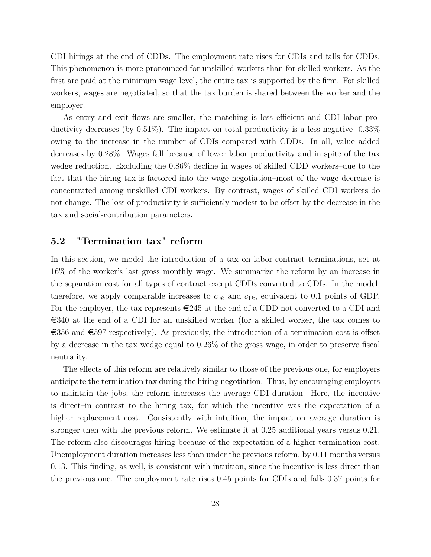CDI hirings at the end of CDDs. The employment rate rises for CDIs and falls for CDDs. This phenomenon is more pronounced for unskilled workers than for skilled workers. As the first are paid at the minimum wage level, the entire tax is supported by the firm. For skilled workers, wages are negotiated, so that the tax burden is shared between the worker and the employer.

As entry and exit flows are smaller, the matching is less efficient and CDI labor productivity decreases (by 0.51%). The impact on total productivity is a less negative -0.33% owing to the increase in the number of CDIs compared with CDDs. In all, value added decreases by 0.28%. Wages fall because of lower labor productivity and in spite of the tax wedge reduction. Excluding the 0.86% decline in wages of skilled CDD workers–due to the fact that the hiring tax is factored into the wage negotiation–most of the wage decrease is concentrated among unskilled CDI workers. By contrast, wages of skilled CDI workers do not change. The loss of productivity is sufficiently modest to be offset by the decrease in the tax and social-contribution parameters.

### **5.2 "Termination tax" reform**

In this section, we model the introduction of a tax on labor-contract terminations, set at 16% of the worker's last gross monthly wage. We summarize the reform by an increase in the separation cost for all types of contract except CDDs converted to CDIs. In the model, therefore, we apply comparable increases to  $c_{0k}$  and  $c_{1k}$ , equivalent to 0.1 points of GDP. For the employer, the tax represents  $\epsilon$ 245 at the end of a CDD not converted to a CDI and  $\epsilon$ 340 at the end of a CDI for an unskilled worker (for a skilled worker, the tax comes to  $\epsilon$ 356 and  $\epsilon$ 597 respectively). As previously, the introduction of a termination cost is offset by a decrease in the tax wedge equal to 0.26% of the gross wage, in order to preserve fiscal neutrality.

The effects of this reform are relatively similar to those of the previous one, for employers anticipate the termination tax during the hiring negotiation. Thus, by encouraging employers to maintain the jobs, the reform increases the average CDI duration. Here, the incentive is direct–in contrast to the hiring tax, for which the incentive was the expectation of a higher replacement cost. Consistently with intuition, the impact on average duration is stronger then with the previous reform. We estimate it at 0.25 additional years versus 0.21. The reform also discourages hiring because of the expectation of a higher termination cost. Unemployment duration increases less than under the previous reform, by 0.11 months versus 0.13. This finding, as well, is consistent with intuition, since the incentive is less direct than the previous one. The employment rate rises 0.45 points for CDIs and falls 0.37 points for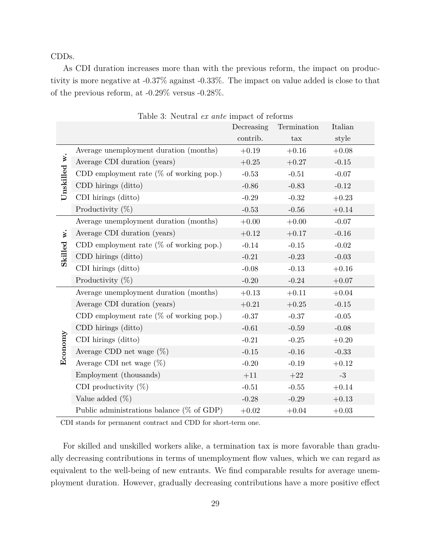CDDs.

As CDI duration increases more than with the previous reform, the impact on productivity is more negative at -0.37% against -0.33%. The impact on value added is close to that of the previous reform, at -0.29% versus -0.28%.

|              | Table 5: Neutral ex ante impact of reforms    | Decreasing | Termination | Italian |
|--------------|-----------------------------------------------|------------|-------------|---------|
|              |                                               | contrib.   | tax         | style   |
|              | Average unemployment duration (months)        | $+0.19$    | $+0.16$     | $+0.08$ |
| Unskilled w. | Average CDI duration (years)                  | $+0.25$    | $+0.27$     | $-0.15$ |
|              | CDD employment rate ( $%$ of working pop.)    | $-0.53$    | $-0.51$     | $-0.07$ |
|              | CDD hirings (ditto)                           | $-0.86$    | $-0.83$     | $-0.12$ |
|              | CDI hirings (ditto)                           | $-0.29$    | $-0.32$     | $+0.23$ |
|              | Productivity $(\%)$                           | $-0.53$    | $-0.56$     | $+0.14$ |
|              | Average unemployment duration (months)        | $+0.00$    | $+0.00$     | $-0.07$ |
| v.           | Average CDI duration (years)                  | $+0.12$    | $+0.17$     | $-0.16$ |
|              | CDD employment rate ( $%$ of working pop.)    | $-0.14$    | $-0.15$     | $-0.02$ |
| Skilled      | CDD hirings (ditto)                           | $-0.21$    | $-0.23$     | $-0.03$ |
|              | CDI hirings (ditto)                           | $-0.08$    | $-0.13$     | $+0.16$ |
|              | Productivity $(\%)$                           | $-0.20$    | $-0.24$     | $+0.07$ |
|              | Average unemployment duration (months)        | $+0.13$    | $+0.11$     | $+0.04$ |
|              | Average CDI duration (years)                  | $+0.21$    | $+0.25$     | $-0.15$ |
|              | CDD employment rate ( $\%$ of working pop.)   | $-0.37$    | $-0.37$     | $-0.05$ |
|              | CDD hirings (ditto)                           | $-0.61$    | $-0.59$     | $-0.08$ |
| Economy      | CDI hirings (ditto)                           | $-0.21$    | $-0.25$     | $+0.20$ |
|              | Average CDD net wage $(\%)$                   | $-0.15$    | $-0.16$     | $-0.33$ |
|              | Average CDI net wage $(\%)$                   | $-0.20$    | $-0.19$     | $+0.12$ |
|              | Employment (thousands)                        | $+11$      | $+22$       | $-3$    |
|              | CDI productivity $(\%)$                       | $-0.51$    | $-0.55$     | $+0.14$ |
|              | Value added $(\%)$                            | $-0.28$    | $-0.29$     | $+0.13$ |
|              | Public administrations balance ( $\%$ of GDP) | $+0.02$    | $+0.04$     | $+0.03$ |

Table 3: Neutral *ex ante* impact of reforms

CDI stands for permanent contract and CDD for short-term one.

For skilled and unskilled workers alike, a termination tax is more favorable than gradually decreasing contributions in terms of unemployment flow values, which we can regard as equivalent to the well-being of new entrants. We find comparable results for average unemployment duration. However, gradually decreasing contributions have a more positive effect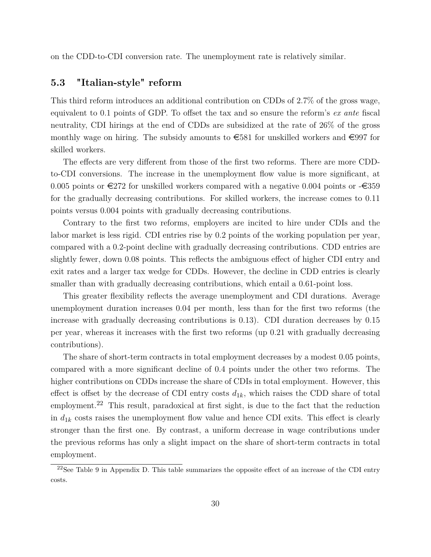on the CDD-to-CDI conversion rate. The unemployment rate is relatively similar.

### **5.3 "Italian-style" reform**

This third reform introduces an additional contribution on CDDs of 2.7% of the gross wage, equivalent to 0.1 points of GDP. To offset the tax and so ensure the reform's *ex ante* fiscal neutrality, CDI hirings at the end of CDDs are subsidized at the rate of 26% of the gross monthly wage on hiring. The subsidy amounts to  $\epsilon$ 581 for unskilled workers and  $\epsilon$ 997 for skilled workers.

The effects are very different from those of the first two reforms. There are more CDDto-CDI conversions. The increase in the unemployment flow value is more significant, at 0.005 points or  $\epsilon$ 272 for unskilled workers compared with a negative 0.004 points or  $-\epsilon$ 359 for the gradually decreasing contributions. For skilled workers, the increase comes to 0.11 points versus 0.004 points with gradually decreasing contributions.

Contrary to the first two reforms, employers are incited to hire under CDIs and the labor market is less rigid. CDI entries rise by 0.2 points of the working population per year, compared with a 0.2-point decline with gradually decreasing contributions. CDD entries are slightly fewer, down 0.08 points. This reflects the ambiguous effect of higher CDI entry and exit rates and a larger tax wedge for CDDs. However, the decline in CDD entries is clearly smaller than with gradually decreasing contributions, which entail a 0.61-point loss.

This greater flexibility reflects the average unemployment and CDI durations. Average unemployment duration increases 0.04 per month, less than for the first two reforms (the increase with gradually decreasing contributions is 0.13). CDI duration decreases by 0.15 per year, whereas it increases with the first two reforms (up 0.21 with gradually decreasing contributions).

The share of short-term contracts in total employment decreases by a modest 0.05 points, compared with a more significant decline of 0.4 points under the other two reforms. The higher contributions on CDDs increase the share of CDIs in total employment. However, this effect is offset by the decrease of CDI entry costs  $d_{1k}$ , which raises the CDD share of total employment.<sup>22</sup> This result, paradoxical at first sight, is due to the fact that the reduction in  $d_{1k}$  costs raises the unemployment flow value and hence CDI exits. This effect is clearly stronger than the first one. By contrast, a uniform decrease in wage contributions under the previous reforms has only a slight impact on the share of short-term contracts in total employment.

 $22$ See Table 9 in Appendix D. This table summarizes the opposite effect of an increase of the CDI entry costs.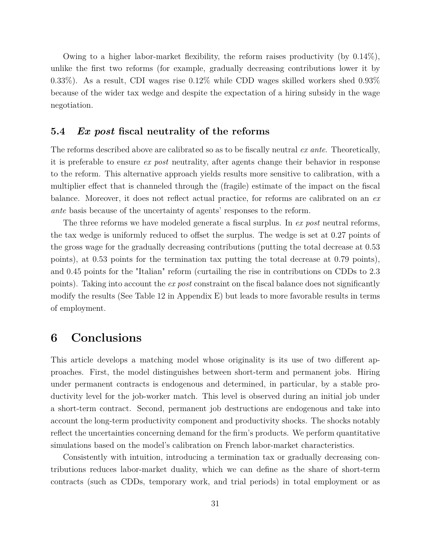Owing to a higher labor-market flexibility, the reform raises productivity (by 0.14%), unlike the first two reforms (for example, gradually decreasing contributions lower it by 0.33%). As a result, CDI wages rise 0.12% while CDD wages skilled workers shed 0.93% because of the wider tax wedge and despite the expectation of a hiring subsidy in the wage negotiation.

### **5.4** *Ex post* **fiscal neutrality of the reforms**

The reforms described above are calibrated so as to be fiscally neutral *ex ante*. Theoretically, it is preferable to ensure *ex post* neutrality, after agents change their behavior in response to the reform. This alternative approach yields results more sensitive to calibration, with a multiplier effect that is channeled through the (fragile) estimate of the impact on the fiscal balance. Moreover, it does not reflect actual practice, for reforms are calibrated on an *ex ante* basis because of the uncertainty of agents' responses to the reform.

The three reforms we have modeled generate a fiscal surplus. In *ex post* neutral reforms, the tax wedge is uniformly reduced to offset the surplus. The wedge is set at 0.27 points of the gross wage for the gradually decreasing contributions (putting the total decrease at 0.53 points), at 0.53 points for the termination tax putting the total decrease at 0.79 points), and 0.45 points for the "Italian" reform (curtailing the rise in contributions on CDDs to 2.3 points). Taking into account the *ex post* constraint on the fiscal balance does not significantly modify the results (See Table 12 in Appendix E) but leads to more favorable results in terms of employment.

### **6 Conclusions**

This article develops a matching model whose originality is its use of two different approaches. First, the model distinguishes between short-term and permanent jobs. Hiring under permanent contracts is endogenous and determined, in particular, by a stable productivity level for the job-worker match. This level is observed during an initial job under a short-term contract. Second, permanent job destructions are endogenous and take into account the long-term productivity component and productivity shocks. The shocks notably reflect the uncertainties concerning demand for the firm's products. We perform quantitative simulations based on the model's calibration on French labor-market characteristics.

Consistently with intuition, introducing a termination tax or gradually decreasing contributions reduces labor-market duality, which we can define as the share of short-term contracts (such as CDDs, temporary work, and trial periods) in total employment or as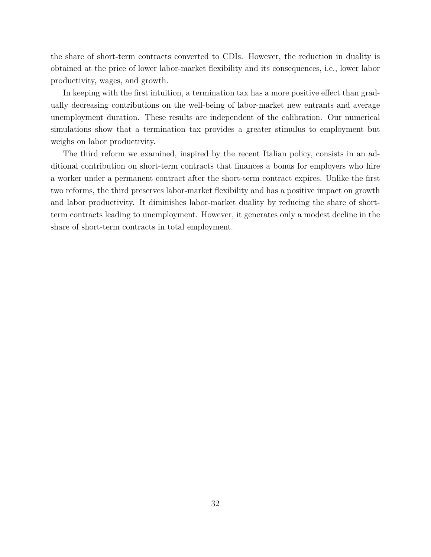the share of short-term contracts converted to CDIs. However, the reduction in duality is obtained at the price of lower labor-market flexibility and its consequences, i.e., lower labor productivity, wages, and growth.

In keeping with the first intuition, a termination tax has a more positive effect than gradually decreasing contributions on the well-being of labor-market new entrants and average unemployment duration. These results are independent of the calibration. Our numerical simulations show that a termination tax provides a greater stimulus to employment but weighs on labor productivity.

The third reform we examined, inspired by the recent Italian policy, consists in an additional contribution on short-term contracts that finances a bonus for employers who hire a worker under a permanent contract after the short-term contract expires. Unlike the first two reforms, the third preserves labor-market flexibility and has a positive impact on growth and labor productivity. It diminishes labor-market duality by reducing the share of shortterm contracts leading to unemployment. However, it generates only a modest decline in the share of short-term contracts in total employment.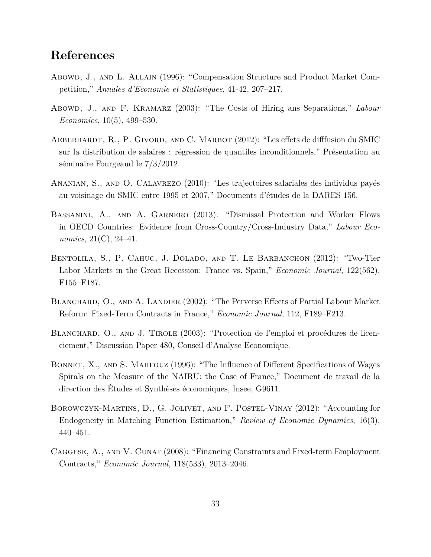### **References**

- Abowd, J., and L. Allain (1996): "Compensation Structure and Product Market Competition," *Annales d'Economie et Statistiques*, 41-42, 207–217.
- Abowd, J., AND F. KRAMARZ (2003): "The Costs of Hiring ans Separations," *Labour Economics*, 10(5), 499–530.
- Aeberhardt, R., P. Givord, and C. Marbot (2012): "Les effets de difffusion du SMIC sur la distribution de salaires : régression de quantiles inconditionnels," Présentation au séminaire Fourgeaud le 7/3/2012.
- Ananian, S., and O. Calavrezo (2010): "Les trajectoires salariales des individus payés au voisinage du SMIC entre 1995 et 2007," Documents d'études de la DARES 156.
- Bassanini, A., and A. Garnero (2013): "Dismissal Protection and Worker Flows in OECD Countries: Evidence from Cross-Country/Cross-Industry Data," *Labour Economics*, 21(C), 24–41.
- Bentolila, S., P. Cahuc, J. Dolado, and T. Le Barbanchon (2012): "Two-Tier Labor Markets in the Great Recession: France vs. Spain," *Economic Journal*, 122(562), F155–F187.
- BLANCHARD, O., AND A. LANDIER (2002): "The Perverse Effects of Partial Labour Market Reform: Fixed-Term Contracts in France," *Economic Journal*, 112, F189–F213.
- BLANCHARD, O., AND J. TIROLE (2003): "Protection de l'emploi et procédures de licenciement," Discussion Paper 480, Conseil d'Analyse Economique.
- BONNET, X., AND S. MAHFOUZ (1996): "The Influence of Different Specifications of Wages Spirals on the Measure of the NAIRU: the Case of France," Document de travail de la direction des Études et Synthèses économiques, Insee, G9611.
- Borowczyk-Martins, D., G. Jolivet, and F. Postel-Vinay (2012): "Accounting for Endogeneity in Matching Function Estimation," *Review of Economic Dynamics*, 16(3), 440–451.
- CAGGESE, A., AND V. CUNAT (2008): "Financing Constraints and Fixed-term Employment Contracts," *Economic Journal*, 118(533), 2013–2046.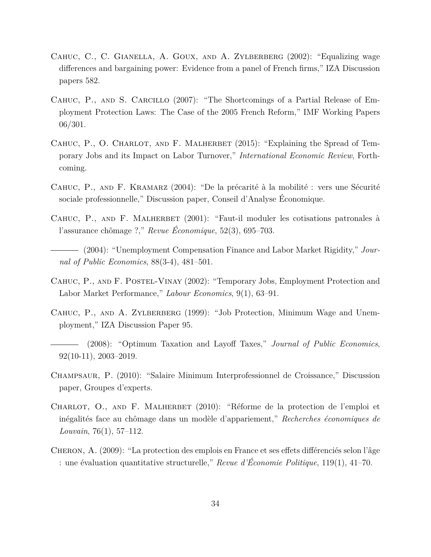- CAHUC, C., C. GIANELLA, A. GOUX, AND A. ZYLBERBERG (2002): "Equalizing wage differences and bargaining power: Evidence from a panel of French firms," IZA Discussion papers 582.
- CAHUC, P., AND S. CARCILLO (2007): "The Shortcomings of a Partial Release of Employment Protection Laws: The Case of the 2005 French Reform," IMF Working Papers 06/301.
- CAHUC, P., O. CHARLOT, AND F. MALHERBET (2015): "Explaining the Spread of Temporary Jobs and its Impact on Labor Turnover," *International Economic Review*, Forthcoming.
- Cahuc, P., and F. Kramarz (2004): "De la précarité à la mobilité : vers une Sécurité sociale professionnelle," Discussion paper, Conseil d'Analyse Économique.
- CAHUC, P., AND F. MALHERBET (2001): "Faut-il moduler les cotisations patronales à l'assurance chômage ?," *Revue Économique*, 52(3), 695–703.
- (2004): "Unemployment Compensation Finance and Labor Market Rigidity," *Journal of Public Economics*, 88(3-4), 481–501.
- CAHUC, P., AND F. POSTEL-VINAY (2002): "Temporary Jobs, Employment Protection and Labor Market Performance," *Labour Economics*, 9(1), 63–91.
- CAHUC, P., AND A. ZYLBERBERG (1999): "Job Protection, Minimum Wage and Unemployment," IZA Discussion Paper 95.
- (2008): "Optimum Taxation and Layoff Taxes," *Journal of Public Economics*, 92(10-11), 2003–2019.
- Champsaur, P. (2010): "Salaire Minimum Interprofessionnel de Croissance," Discussion paper, Groupes d'experts.
- CHARLOT, O., AND F. MALHERBET (2010): "Réforme de la protection de l'emploi et inégalités face au chômage dans un modèle d'appariement," *Recherches économiques de Louvain*, 76(1), 57–112.
- Cheron, A. (2009): "La protection des emplois en France et ses effets différenciés selon l'âge : une évaluation quantitative structurelle," *Revue d'Économie Politique*, 119(1), 41–70.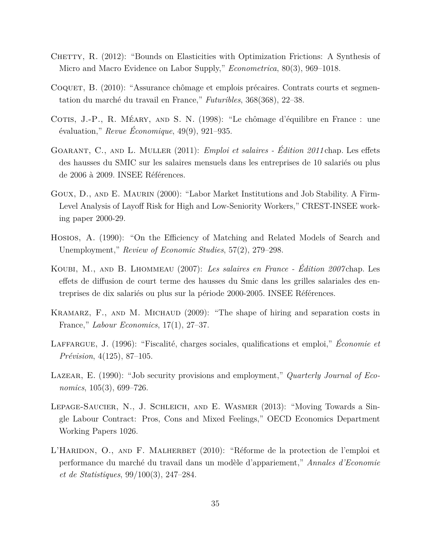- CHETTY, R. (2012): "Bounds on Elasticities with Optimization Frictions: A Synthesis of Micro and Macro Evidence on Labor Supply," *Econometrica*, 80(3), 969–1018.
- Coquet, B. (2010): "Assurance chômage et emplois précaires. Contrats courts et segmentation du marché du travail en France," *Futuribles*, 368(368), 22–38.
- COTIS, J.-P., R. MÉARY, AND S. N. (1998): "Le chômage d'équilibre en France : une évaluation," *Revue Économique*, 49(9), 921–935.
- Goarant, C., and L. Muller (2011): *Emploi et salaires Édition 2011* chap. Les effets des hausses du SMIC sur les salaires mensuels dans les entreprises de 10 salariés ou plus de 2006 à 2009. INSEE Références.
- Goux, D., and E. Maurin (2000): "Labor Market Institutions and Job Stability. A Firm-Level Analysis of Layoff Risk for High and Low-Seniority Workers," CREST-INSEE working paper 2000-29.
- Hosios, A. (1990): "On the Efficiency of Matching and Related Models of Search and Unemployment," *Review of Economic Studies*, 57(2), 279–298.
- Koubi, M., and B. Lhommeau (2007): *Les salaires en France Édition 2007* chap. Les effets de diffusion de court terme des hausses du Smic dans les grilles salariales des entreprises de dix salariés ou plus sur la période 2000-2005. INSEE Références.
- KRAMARZ, F., AND M. MICHAUD (2009): "The shape of hiring and separation costs in France," *Labour Economics*, 17(1), 27–37.
- Laffargue, J. (1996): "Fiscalité, charges sociales, qualifications et emploi," *Économie et Prévision*, 4(125), 87–105.
- LAZEAR, E. (1990): "Job security provisions and employment," *Quarterly Journal of Economics*, 105(3), 699–726.
- Lepage-Saucier, N., J. Schleich, and E. Wasmer (2013): "Moving Towards a Single Labour Contract: Pros, Cons and Mixed Feelings," OECD Economics Department Working Papers 1026.
- L'HARIDON, O., AND F. MALHERBET (2010): "Réforme de la protection de l'emploi et performance du marché du travail dans un modèle d'appariement," *Annales d'Economie et de Statistiques*, 99/100(3), 247–284.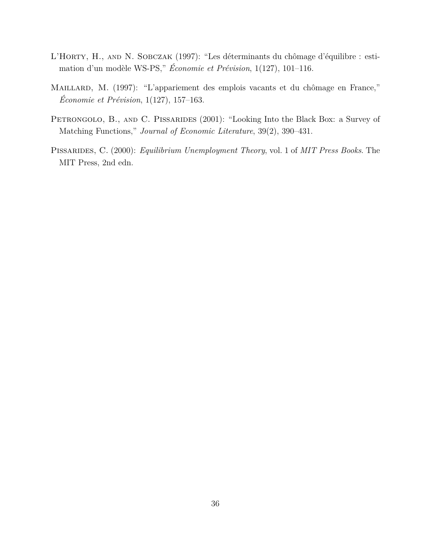- L'HORTY, H., AND N. SOBCZAK (1997): "Les déterminants du chômage d'équilibre : estimation d'un modèle WS-PS," *Économie et Prévision*, 1(127), 101–116.
- MAILLARD, M. (1997): "L'appariement des emplois vacants et du chômage en France," *Économie et Prévision*, 1(127), 157–163.
- PETRONGOLO, B., AND C. PISSARIDES (2001): "Looking Into the Black Box: a Survey of Matching Functions," *Journal of Economic Literature*, 39(2), 390–431.
- Pissarides, C. (2000): *Equilibrium Unemployment Theory*, vol. 1 of *MIT Press Books*. The MIT Press, 2nd edn.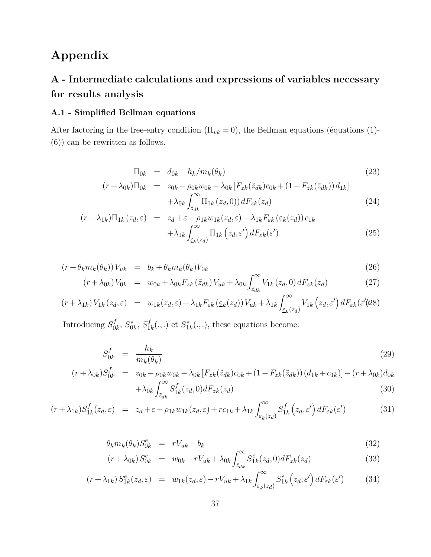# **Appendix**

# **A - Intermediate calculations and expressions of variables necessary for results analysis**

### **A.1 - Simplified Bellman equations**

After factoring in the free-entry condition  $(\Pi_{vk} = 0)$ , the Bellman equations (équations (1)-(6)) can be rewritten as follows.

$$
\Pi_{0k} = d_{0k} + h_k/m_k(\theta_k) \tag{23}
$$

$$
(r + \lambda_{0k})\Pi_{0k} = z_{0k} - \rho_{0k}w_{0k} - \lambda_{0k} [F_{zk}(\tilde{z}_{dk})c_{0k} + (1 - F_{zk}(\tilde{z}_{dk}))d_{1k}] + \lambda_{0k} \int_{\tilde{z}_{dk}}^{\infty} \Pi_{1k}(z_d, 0)) dF_{zk}(z_d)
$$
\n(24)

$$
(r + \lambda_{1k})\Pi_{1k}(z_d, \varepsilon) = z_d + \varepsilon - \rho_{1k} w_{1k}(z_d, \varepsilon) - \lambda_{1k} F_{\varepsilon k}(\varepsilon_k(z_d)) c_{1k} + \lambda_{1k} \int_{\varepsilon_k(z_d)}^{\infty} \Pi_{1k}(z_d, \varepsilon') dF_{\varepsilon k}(\varepsilon')
$$
\n(25)

$$
(r + \theta_k m_k(\theta_k)) V_{uk} = b_k + \theta_k m_k(\theta_k) V_{0k}
$$
  
\n
$$
(r + \lambda_{0k}) V_{0k} = w_{0k} + \lambda_{0k} F_{zk}(\tilde{z}_{dk}) V_{uk} + \lambda_{0k} \int_{\tilde{z}_{dk}}^{\infty} V_{1k}(z_d, 0) dF_{zk}(z_d)
$$
\n(27)

$$
(r + \lambda_{1k}) V_{1k}(z_d, \varepsilon) = w_{1k}(z_d, \varepsilon) + \lambda_{1k} F_{\varepsilon k}(\varepsilon_k(z_d)) V_{uk} + \lambda_{1k} \int_{\varepsilon_k(z_d)}^{\infty} V_{1k}(z_d, \varepsilon') dF_{\varepsilon k}(\varepsilon') \, dS
$$

Introducing *S f*  $S_{0k}^{f}$ ,  $S_{0k}^{e}$ ,  $S_{1}^{f}$  $S_{1k}^f(.,.)$  et  $S_{1k}^e(.,.)$ , these equations become:

$$
S_{0k}^f = \frac{h_k}{m_k(\theta_k)}\tag{29}
$$

$$
(r + \lambda_{0k})S_{0k}^f = z_{0k} - \rho_{0k}w_{0k} - \lambda_{0k} [F_{zk}(\tilde{z}_{dk})c_{0k} + (1 - F_{zk}(\tilde{z}_{dk})) (d_{1k} + c_{1k})] - (r + \lambda_{0k})d_{0k} + \lambda_{0k} \int_{\tilde{z}_{dk}}^{\infty} S_{1k}^f(z_d, 0) dF_{zk}(z_d)
$$
\n(30)

$$
(r + \lambda_{1k}) S_{1k}^f(z_d, \varepsilon) = z_d + \varepsilon - \rho_{1k} w_{1k}(z_d, \varepsilon) + rc_{1k} + \lambda_{1k} \int_{\varepsilon_k(z_d)}^{\infty} S_{1k}^f(z_d, \varepsilon') dF_{\varepsilon k}(\varepsilon') \tag{31}
$$

$$
\theta_k m_k(\theta_k) S_{0k}^e = rV_{uk} - b_k \tag{32}
$$

$$
(r + \lambda_{0k}) S_{0k}^e = w_{0k} - rV_{uk} + \lambda_{0k} \int_{\tilde{z}_{dk}}^{\infty} S_{1k}^e(z_d, 0) dF_{zk}(z_d)
$$
 (33)

$$
(r + \lambda_{1k}) S_{1k}^e(z_d, \varepsilon) = w_{1k}(z_d, \varepsilon) - rV_{uk} + \lambda_{1k} \int_{\varepsilon_k(z_d)}^{\infty} S_{1k}^e(z_d, \varepsilon') dF_{\varepsilon k}(\varepsilon') \tag{34}
$$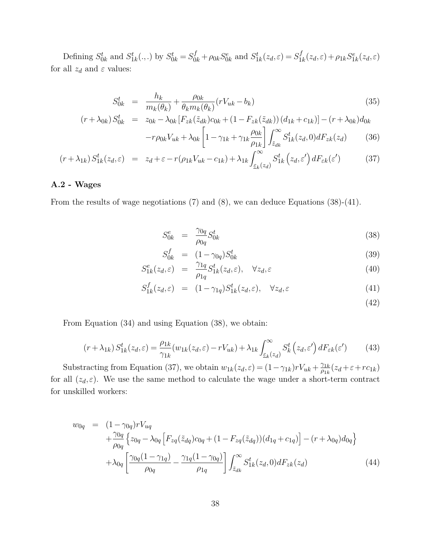Defining  $S_{0k}^t$  and  $S_{1k}^t(.,.)$  by  $S_{0k}^t = S_{0k}^f + \rho_{0k}S_{0k}^e$  and  $S_{1k}^t(z_d, \varepsilon) = S_1^f$  $\frac{f}{1k}(z_d, \varepsilon) + \rho_{1k} S_{1k}^e(z_d, \varepsilon)$ for all  $z_d$  and  $\varepsilon$  values:

$$
S_{0k}^{t} = \frac{h_{k}}{m_{k}(\theta_{k})} + \frac{\rho_{0k}}{\theta_{k}m_{k}(\theta_{k})}(rV_{uk} - b_{k})
$$
\n(35)

$$
(r + \lambda_{0k}) S_{0k}^t = z_{0k} - \lambda_{0k} [F_{zk}(\tilde{z}_{dk})c_{0k} + (1 - F_{zk}(\tilde{z}_{dk})) (d_{1k} + c_{1k})] - (r + \lambda_{0k})d_{0k}
$$

$$
-r\rho_{0k}V_{uk} + \lambda_{0k} \left[1 - \gamma_{1k} + \gamma_{1k} \frac{\rho_{0k}}{r} \right] \int_{0}^{\infty} S_{1k}^t(z_d, 0) dF_{zk}(z_d) \tag{36}
$$

$$
\rho_{0k}V_{uk} + \lambda_{0k} \left[1 - \gamma_{1k} + \gamma_{1k} \frac{\rho_{0k}}{\rho_{1k}}\right] \int_{\tilde{z}_{dk}}^{\infty} S_{1k}^{t}(z_d, 0) dF_{zk}(z_d)
$$
(36)

$$
(r + \lambda_{1k}) S_{1k}^{t}(z_d, \varepsilon) = z_d + \varepsilon - r(\rho_{1k}V_{uk} - c_{1k}) + \lambda_{1k} \int_{\varepsilon_k(z_d)}^{\infty} S_{1k}^{t}(z_d, \varepsilon') dF_{\varepsilon k}(\varepsilon') \tag{37}
$$

### **A.2 - Wages**

From the results of wage negotiations (7) and (8), we can deduce Equations (38)-(41).

$$
S_{0k}^e = \frac{\gamma_{0q}}{\rho_{0q}} S_{0k}^t \tag{38}
$$

$$
S_{0k}^f = (1 - \gamma_{0q}) S_{0k}^t \tag{39}
$$

$$
S_{1k}^{e}(z_d, \varepsilon) = \frac{\gamma_{1q}}{\rho_{1q}} S_{1k}^{t}(z_d, \varepsilon), \quad \forall z_d, \varepsilon
$$
 (40)

$$
S_{1k}^f(z_d, \varepsilon) = (1 - \gamma_{1q}) S_{1k}^t(z_d, \varepsilon), \quad \forall z_d, \varepsilon
$$
\n(41)

(42)

From Equation (34) and using Equation (38), we obtain:

$$
(r + \lambda_{1k}) S_{1k}^{t}(z_d, \varepsilon) = \frac{\rho_{1k}}{\gamma_{1k}} (w_{1k}(z_d, \varepsilon) - rV_{uk}) + \lambda_{1k} \int_{\varepsilon_k(z_d)}^{\infty} S_k^{t}(z_d, \varepsilon') dF_{\varepsilon k}(\varepsilon') \tag{43}
$$

Substracting from Equation (37), we obtain  $w_{1k}(z_d, \varepsilon) = (1 - \gamma_{1k})rV_{uk} + \frac{\gamma_{1k}}{\rho_{1k}}$  $\frac{\gamma_{1k}}{\rho_{1k}}(z_d+\varepsilon+rc_{1k})$ for all  $(z_d, \varepsilon)$ . We use the same method to calculate the wage under a short-term contract for unskilled workers:

$$
w_{0q} = (1 - \gamma_{0q})rV_{uq} + \frac{\gamma_{0q}}{\rho_{0q}} \Big\{ z_{0q} - \lambda_{0q} \Big[ F_{zq}(\tilde{z}_{dq})c_{0q} + (1 - F_{zq}(\tilde{z}_{dq}))(d_{1q} + c_{1q}) \Big] - (r + \lambda_{0q})d_{0q} \Big\} + \lambda_{0q} \Big[ \frac{\gamma_{0q}(1 - \gamma_{1q})}{\rho_{0q}} - \frac{\gamma_{1q}(1 - \gamma_{0q})}{\rho_{1q}} \Big] \int_{\tilde{z}_{dk}}^{\infty} S_{1k}^{t}(z_d, 0) dF_{zk}(z_d)
$$
(44)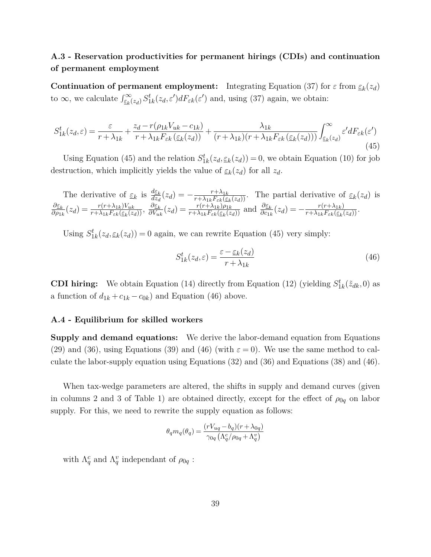### **A.3 - Reservation productivities for permanent hirings (CDIs) and continuation of permanent employment**

**Continuation of permanent employment:** Integrating Equation (37) for  $\varepsilon$  from  $\underline{\varepsilon}_k(z_d)$ to  $\infty$ , we calculate  $\int_{\xi_k}^{\infty} (z_d) S_{1k}^t(z_d, \varepsilon') dF_{\varepsilon k}(\varepsilon')$  and, using (37) again, we obtain:

$$
S_{1k}^{t}(z_d, \varepsilon) = \frac{\varepsilon}{r + \lambda_{1k}} + \frac{z_d - r(\rho_{1k}V_{uk} - c_{1k})}{r + \lambda_{1k}F_{\varepsilon k}(\varepsilon_k(z_d))} + \frac{\lambda_{1k}}{(r + \lambda_{1k})(r + \lambda_{1k}F_{\varepsilon k}(\varepsilon_k(z_d)))} \int_{\varepsilon_k(z_d)}^{\infty} \varepsilon' dF_{\varepsilon k}(\varepsilon')
$$
\n(45)

Using Equation (45) and the relation  $S_{1k}^{t}(z_d, \underline{\varepsilon}_k(z_d)) = 0$ , we obtain Equation (10) for job destruction, which implicitly yields the value of  $\underline{\varepsilon}_k(z_d)$  for all  $z_d$ .

The derivative of  $\underline{\varepsilon}_k$  is  $\frac{d\underline{\varepsilon}_k}{dz_d}(z_d) = -\frac{r + \lambda_{1k}}{r + \lambda_{1k}F_{\varepsilon k}(\underline{\varepsilon})}$  $\frac{r+\lambda_{1k}}{r+\lambda_{1k}F_{\varepsilon k}(\varepsilon_k(z_d))}$ . The partial derivative of  $\varepsilon_k(z_d)$  is *∂ε<sup>k</sup>*  $\frac{\partial \underline{\varepsilon}_k}{\partial \rho_{1k}}(z_d) = \frac{r(r+\lambda_{1k})V_{uk}}{r+\lambda_{1k}F_{\varepsilon k}(\underline{\varepsilon}_k(z_d))}, \frac{\partial \underline{\varepsilon}_k}{\partial V_{uk}}$  $\frac{\partial \varepsilon_k}{\partial V_{uk}}(z_d) = \frac{r(r + \lambda_{1k})\rho_{1k}}{r + \lambda_{1k}F_{\varepsilon k}(\varepsilon_k(z_d))}$  and  $\frac{\partial \varepsilon_k}{\partial c_{1k}}(z_d) = -\frac{r(r + \lambda_{1k})}{r + \lambda_{1k}F_{\varepsilon k}(\varepsilon_k)}$  $\frac{r(r+\lambda_{1k})}{r+\lambda_{1k}F_{\varepsilon k}(\varepsilon_{k}(z_d))}$ .

Using  $S_{1k}^t(z_d, \underline{\varepsilon}_k(z_d)) = 0$  again, we can rewrite Equation (45) very simply:

$$
S_{1k}^t(z_d, \varepsilon) = \frac{\varepsilon - \varepsilon_k(z_d)}{r + \lambda_{1k}}\tag{46}
$$

**CDI hiring:** We obtain Equation (14) directly from Equation (12) (yielding  $S_{1k}^t(\tilde{z}_{dk},0)$  as a function of  $d_{1k} + c_{1k} - c_{0k}$  and Equation (46) above.

### **A.4 - Equilibrium for skilled workers**

**Supply and demand equations:** We derive the labor-demand equation from Equations (29) and (36), using Equations (39) and (46) (with  $\varepsilon = 0$ ). We use the same method to calculate the labor-supply equation using Equations (32) and (36) and Equations (38) and (46).

When tax-wedge parameters are altered, the shifts in supply and demand curves (given in columns 2 and 3 of Table 1) are obtained directly, except for the effect of  $\rho_{0q}$  on labor supply. For this, we need to rewrite the supply equation as follows:

$$
\theta_q m_q(\theta_q) = \frac{(rV_{uq} - b_q)(r + \lambda_{0q})}{\gamma_{0q} (\Lambda_q^c/\rho_{0q} + \Lambda_q^v)}
$$

with  $\Lambda_q^c$  and  $\Lambda_q^v$  independant of  $\rho_{0q}$ :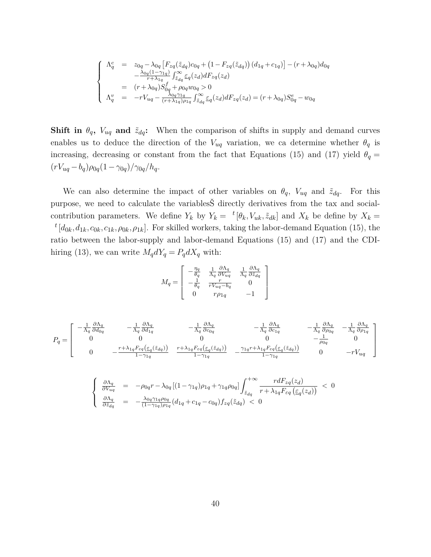$$
\begin{cases}\n\Lambda_q^c = z_{0q} - \lambda_{0q} \left[ F_{zq}(\tilde{z}_{dq}) c_{0q} + (1 - F_{zq}(\tilde{z}_{dq})) (d_{1q} + c_{1q}) \right] - (r + \lambda_{0q}) d_{0q} \\
- \frac{\lambda_{0q} (1 - \gamma_{1q})}{r + \lambda_{1q}} \int_{\tilde{z}_{dq}}^{\infty} \underline{\varepsilon}_q(z_d) dF_{zq}(z_d) \\
= (r + \lambda_{0q}) S_{0q}^f + \rho_{0q} w_{0q} > 0 \\
\Lambda_q^v = -r V_{uq} - \frac{\lambda_{0q} \gamma_{1q}}{(r + \lambda_{1q}) \rho_{1q}} \int_{\tilde{z}_{dq}}^{\infty} \underline{\varepsilon}_q(z_d) dF_{zq}(z_d) = (r + \lambda_{0q}) S_{0q}^e - w_{0q}\n\end{cases}
$$

**Shift in**  $\theta_q$ ,  $V_{uq}$  and  $\tilde{z}_{dq}$ : When the comparison of shifts in supply and demand curves enables us to deduce the direction of the  $V_{uq}$  variation, we ca determine whether  $\theta_q$  is increasing, decreasing or constant from the fact that Equations (15) and (17) yield  $\theta_q =$  $(rV_{uq} - b_q)\rho_{0q}(1 - \gamma_{0q})/\gamma_{0q}/h_q.$ 

We can also determine the impact of other variables on  $\theta_q$ ,  $V_{uq}$  and  $\tilde{z}_{dq}$ . For this purpose, we need to calculate the variablesŠ directly derivatives from the tax and socialcontribution parameters. We define  $Y_k$  by  $Y_k = t[\theta_k, V_{uk}, \tilde{z}_{dk}]$  and  $X_k$  be define by  $X_k =$  $t$ <sup> $t$ </sup> $[d_{0k}, d_{1k}, c_{0k}, c_{1k}, \rho_{0k}, \rho_{1k}]$ . For skilled workers, taking the labor-demand Equation (15), the ratio between the labor-supply and labor-demand Equations (15) and (17) and the CDIhiring (13), we can write  $M_q dY_q = P_q dX_q$  with:

$$
M_q = \begin{bmatrix} -\frac{\eta_q}{\theta_q} & \frac{1}{\Lambda_q} \frac{\partial \Lambda_q}{\partial V_{uq}} & \frac{1}{\Lambda_q} \frac{\partial \Lambda_q}{\partial \tilde{z}_{dq}} \\ -\frac{1}{\theta_q} & \frac{r}{r V_{uq} - b_q} & 0 \\ 0 & r \rho_{1q} & -1 \end{bmatrix}
$$

$$
P_{q} = \begin{bmatrix} -\frac{1}{\Lambda_{q}} \frac{\partial \Lambda_{q}}{\partial d_{0q}} & -\frac{1}{\Lambda_{q}} \frac{\partial \Lambda_{q}}{\partial d_{1q}} & -\frac{1}{\Lambda_{q}} \frac{\partial \Lambda_{q}}{\partial c_{0q}} & -\frac{1}{\Lambda_{q}} \frac{\partial \Lambda_{q}}{\partial c_{1q}} & -\frac{1}{\Lambda_{q}} \frac{\partial \Lambda_{q}}{\partial c_{0q}} & -\frac{1}{\Lambda_{q}} \frac{\partial \Lambda_{q}}{\partial c_{1q}} \\ 0 & 0 & 0 & 0 & -\frac{1}{\rho_{0q}} & 0 \\ 0 & -\frac{r + \lambda_{1q} F_{\varepsilon q}(\underline{\varepsilon}_{q}(\tilde{z}_{dq}))}{1 - \gamma_{1q}} & \frac{r + \lambda_{1q} F_{\varepsilon q}(\underline{\varepsilon}_{q}(\tilde{z}_{dq}))}{1 - \gamma_{1q}} & -\frac{\gamma_{1q} r + \lambda_{1q} F_{\varepsilon q}(\underline{\varepsilon}_{q}(\tilde{z}_{dq}))}{1 - \gamma_{1q}} & 0 & -rV_{uq} \end{bmatrix}
$$

$$
\begin{cases}\n\frac{\partial \Lambda_q}{\partial V_{uq}} = -\rho_{0q}r - \lambda_{0q} \left[ (1 - \gamma_{1q})\rho_{1q} + \gamma_{1q}\rho_{0q} \right] \int_{\tilde{z}_{dq}}^{+\infty} \frac{r dF_{zq}(z_d)}{r + \lambda_{1q}F_{\varepsilon q} \left( \underline{\varepsilon}_q(z_d) \right)} < 0 \\
\frac{\partial \Lambda_q}{\partial \tilde{z}_{dq}} = -\frac{\lambda_{0q} \gamma_{1q} \rho_{0q}}{(1 - \gamma_{1q})\rho_{1q}} (d_{1q} + c_{1q} - c_{0q}) f_{zq}(\tilde{z}_{dq}) < 0\n\end{cases}
$$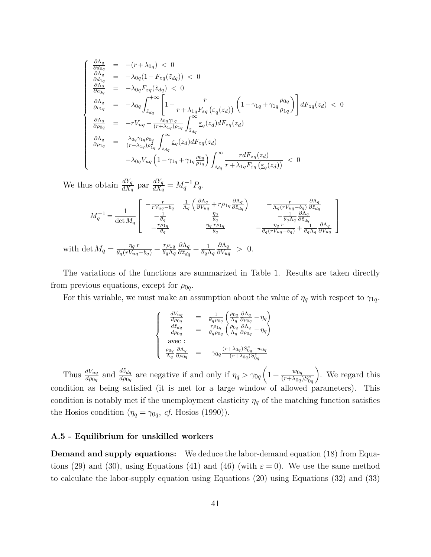$$
\begin{cases}\n\frac{\partial \Lambda_q}{\partial d_{0q}} = -(r + \lambda_{0q}) < 0 \\
\frac{\partial \Lambda_q}{\partial d_{1q}} = -\lambda_{0q} (1 - F_{zq}(\tilde{z}_{dq})) < 0 \\
\frac{\partial \Lambda_q}{\partial c_{0q}} = -\lambda_{0q} F_{zq}(\tilde{z}_{dq}) < 0 \\
\frac{\partial \Lambda_q}{\partial c_{1q}} = -\lambda_{0q} \int_{\tilde{z}_{dq}}^{+\infty} \left[ 1 - \frac{r}{r + \lambda_{1q} F_{\varepsilon q}(\varepsilon_q(z_d))} \left( 1 - \gamma_{1q} + \gamma_{1q} \frac{\rho_{0q}}{\rho_{1q}} \right) \right] dF_{zq}(z_d) < 0 \\
\frac{\partial \Lambda_q}{\partial \rho_{0q}} = -r V_{uq} - \frac{\lambda_{0q} \gamma_{1q}}{(r + \lambda_{1q}) \rho_{1q}} \int_{\tilde{z}_{dq}}^{\infty} \varepsilon_q(z_d) dF_{zq}(z_d) \\
\frac{\partial \Lambda_q}{\partial \rho_{1q}} = \frac{\lambda_{0q} \gamma_{1q} \rho_{0q}}{(r + \lambda_{1q}) \rho_{1q}^2} \int_{\tilde{z}_{dq}}^{\infty} \varepsilon_q(z_d) dF_{zq}(z_d) \\
-\lambda_{0q} V_{uq} \left( 1 - \gamma_{1q} + \gamma_{1q} \frac{\rho_{0q}}{\rho_{1q}} \right) \int_{\tilde{z}_{dq}}^{\infty} \frac{r dF_{zq}(z_d)}{r + \lambda_{1q} F_{\varepsilon q}(\varepsilon_q(z_d))} < 0\n\end{cases}
$$

We thus obtain  $\frac{dY_q}{dX_q}$  par  $\frac{dY_q}{dX_q}$  $\frac{dY_q}{dX_q} = M_q^{-1}P_q.$ 

$$
M_q^{-1} = \frac{1}{\det M_q} \begin{bmatrix} -\frac{r}{rV_{uq} - b_q} & \frac{1}{\Lambda_q} \left( \frac{\partial \Lambda_q}{\partial V_{uq}} + r \rho_{1q} \frac{\partial \Lambda_q}{\partial \bar{z}_{dq}} \right) & -\frac{r}{\Lambda_q (rV_{uq} - b_q)} \frac{\partial \Lambda_q}{\partial \bar{z}_{dq}} \\ -\frac{1}{\theta_q} & \frac{\eta_q}{\theta_q} & -\frac{1}{\theta_q \Lambda_q} \frac{\partial \Lambda_q}{\partial \bar{z}_{dq}} \\ -\frac{r \rho_{1q}}{\theta_q} & \frac{\eta_q \cdot r \rho_{1q}}{\theta_q} & -\frac{\eta_q \cdot r}{\theta_q (rV_{uq} - b_q)} + \frac{1}{\theta_q \Lambda_q} \frac{\partial \Lambda_q}{\partial V_{uq}} \end{bmatrix}
$$
  
with  $\det M_q = \frac{\eta_q \cdot r}{\theta_q (rV_{uq} - b_q)} - \frac{r \rho_{1q}}{\theta_q \Lambda_q} \frac{\partial \Lambda_q}{\partial \bar{z}_{dq}} - \frac{1}{\theta_q \Lambda_q} \frac{\partial \Lambda_q}{\partial V_{uq}} > 0$ .

The variations of the functions are summarized in Table 1. Results are taken directly from previous equations, except for  $\rho_{0q}$ .

For this variable, we must make an assumption about the value of  $\eta_q$  with respect to  $\gamma_{1q}$ .

$$
\left\{ \begin{array}{ccc} \frac{dV_{uq}}{d\rho_{0q}} &=& \frac{1}{\theta_q\rho_{0q}}\left(\frac{\rho_{0q}}{\Lambda_q}\frac{\partial \Lambda_q}{\partial \rho_{0q}}-\eta_q\right)\\ \frac{d\vec{z}_{dq}}{d\rho_{0q}} &=& \frac{r\rho_{1q}}{\theta_q\rho_{0q}}\left(\frac{\rho_{0q}}{\Lambda_q}\frac{\partial \Lambda_q}{\partial \rho_{0q}}-\eta_q\right)\\ \text{avec: }\\ \frac{\rho_{0q}}{\Lambda_q}\frac{\partial \Lambda_q}{\partial \rho_{0q}} &=& \gamma_{0q}\frac{(r+\lambda_{0q})S_{0q}^e-w_{0q}}{(r+\lambda_{0q})S_{0q}^e} \end{array} \right.
$$

Thus  $\frac{dV_{uq}}{d\rho_{0q}}$  and  $\frac{d\tilde{z}_{dq}}{d\rho_{0q}}$  are negative if and only if  $\eta_q > \gamma_{0q} \left(1 - \frac{w_{0q}}{(r + \lambda_{0q})}\right)$  $\overline{(r+\lambda_{0q})S^e_{0q}}$  . We regard this condition as being satisfied (it is met for a large window of allowed parameters). This condition is notably met if the unemployment elasticity  $\eta_q$  of the matching function satisfies the Hosios condition ( $\eta_q = \gamma_{0q}$ , *cf.* Hosios (1990)).

#### **A.5 - Equilibrium for unskilled workers**

**Demand and supply equations:** We deduce the labor-demand equation (18) from Equations (29) and (30), using Equations (41) and (46) (with  $\varepsilon = 0$ ). We use the same method to calculate the labor-supply equation using Equations (20) using Equations (32) and (33)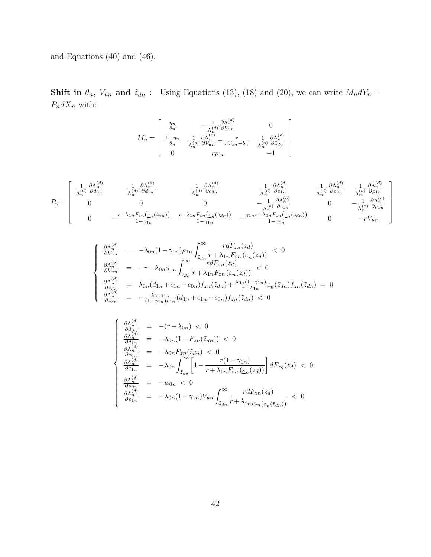and Equations (40) and (46).

**Shift in**  $\theta_n$ ,  $V_{un}$  **and**  $\tilde{z}_{dn}$  : Using Equations (13), (18) and (20), we can write  $M_n dY_n =$  $P_ndX_n$  with:

$$
M_n = \begin{bmatrix} \frac{\eta_n}{\theta_n} & -\frac{1}{\Lambda_n^{(d)}} \frac{\partial \Lambda_n^{(d)}}{\partial V_{un}} & 0\\ \frac{1 - \eta_n}{\theta_n} & \frac{1}{\Lambda_n^{(o)}} \frac{\partial \Lambda_n^{(o)}}{\partial V_{un}} - \frac{r}{r V_{un} - b_n} & \frac{1}{\Lambda_n^{(o)}} \frac{\partial \Lambda_n^{(o)}}{\partial \bar{z}_{un}}\\ 0 & r\rho_{1n} & -1 \end{bmatrix}
$$

$$
P_n = \begin{bmatrix} \frac{1}{\Lambda_n^{(d)}} \frac{\partial \Lambda_n^{(d)}}{\partial d_{0n}} & \frac{1}{\Lambda_n^{(d)}} \frac{\partial \Lambda_n^{(d)}}{\partial d_{1n}} & \frac{1}{\Lambda_n^{(d)}} \frac{\partial \Lambda_n^{(d)}}{\partial c_{0n}} & \frac{1}{\Lambda_n^{(d)}} \frac{\partial \Lambda_n^{(d)}}{\partial c_{1n}} & \frac{1}{\Lambda_n^{(d)}} \frac{\partial \Lambda_n^{(d)}}{\partial c_{1n}} \\ 0 & 0 & 0 & -\frac{1}{\Lambda_n^{(o)}} \frac{\partial \Lambda_n^{(o)}}{\partial c_{1n}} & 0 & -\frac{1}{\Lambda_n^{(o)}} \frac{\partial \Lambda_n^{(o)}}{\partial c_{1n}} \\ 0 & -\frac{r + \lambda_{1n} F_{\varepsilon n}(\underline{\varepsilon}_n(\tilde{z}_{dn}))}{1 - \gamma_{1n}} & \frac{r + \lambda_{1n} F_{\varepsilon n}(\underline{\varepsilon}_n(\tilde{z}_{dn}))}{1 - \gamma_{1n}} & -\frac{\gamma_{1n} r + \lambda_{1n} F_{\varepsilon n}(\underline{\varepsilon}_n(\tilde{z}_{dn}))}{1 - \gamma_{1n}} & 0 & -rV_{un} \end{bmatrix}
$$

$$
\begin{cases}\n\frac{\partial \Lambda_n^{(d)}}{\partial V_{un}} = -\lambda_{0n} (1 - \gamma_{1n}) \rho_{1n} \int_{\tilde{z}_{dn}}^{\infty} \frac{r dF_{zn}(z_d)}{r + \lambda_{1n} F_{\varepsilon n}(\varepsilon_n(z_d))} < 0 \\
\frac{\partial \Lambda_n^{(o)}}{\partial V_{un}} = -r - \lambda_{0n} \gamma_{1n} \int_{\tilde{z}_{dn}}^{\infty} \frac{r dF_{zn}(z_d)}{r + \lambda_{1n} F_{\varepsilon n}(\varepsilon_n(z_d))} < 0 \\
\frac{\partial \Lambda_n^{(d)}}{\partial \tilde{z}_{dn}} = \lambda_{0n} (d_{1n} + c_{1n} - c_{0n}) f_{zn}(\tilde{z}_{dn}) + \frac{\lambda_{0n} (1 - \gamma_{1n})}{r + \lambda_{1n}} \varepsilon_n(\tilde{z}_{dn}) f_{zn}(\tilde{z}_{dn}) = 0 \\
\frac{\partial \Lambda_n^{(o)}}{\partial \tilde{z}_{dn}} = -\frac{\lambda_{0n} \gamma_{1n}}{(1 - \gamma_{1n}) \rho_{1n}} (d_{1n} + c_{1n} - c_{0n}) f_{zn}(\tilde{z}_{dn}) < 0\n\end{cases}
$$

$$
\begin{cases}\n\frac{\partial \Lambda_n^{(d)}}{\partial d_{0n}} = -(r + \lambda_{0n}) < 0 \\
\frac{\partial \Lambda_n^{(d)}}{\partial d_{1n}} = -\lambda_{0n} (1 - F_{zn}(\tilde{z}_{dn})) < 0 \\
\frac{\partial \Lambda_n^{(d)}}{\partial c_{0n}} = -\lambda_{0n} F_{zn}(\tilde{z}_{dn}) < 0 \\
\frac{\partial \Lambda_n^{(d)}}{\partial c_{1n}} = -\lambda_{0n} \int_{\tilde{z}_{dq}}^{\infty} \left[ 1 - \frac{r(1 - \gamma_{1n})}{r + \lambda_{1n} F_{\varepsilon n}(\underline{\varepsilon}_n(z_d))} \right] dF_{zq}(z_d) < 0 \\
\frac{\partial \Lambda_n^{(d)}}{\partial \rho_{0n}} = -w_{0n} < 0 \\
\frac{\partial \Lambda_n^{(d)}}{\partial \rho_{1n}} = -\lambda_{0n} (1 - \gamma_{1n}) V_{un} \int_{\tilde{z}_{dn}}^{\infty} \frac{r dF_{zn}(z_d)}{r + \lambda_{1n} F_{\varepsilon n}(\underline{\varepsilon}_n(\tilde{z}_{dn}))} < 0\n\end{cases}
$$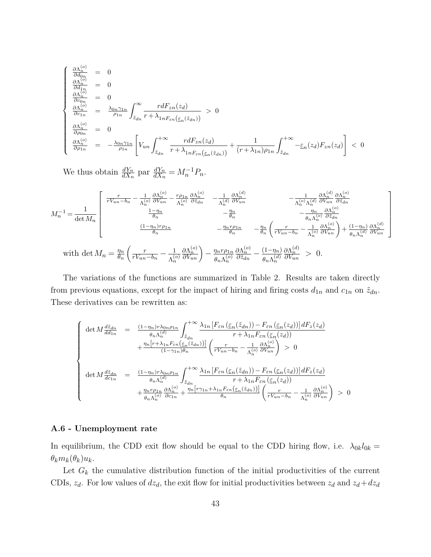$$
\begin{cases}\n\frac{\partial \Lambda_n^{(o)}}{\partial d_{0n}} = 0 \\
\frac{\partial \Lambda_n^{(o)}}{\partial d_{1n}} = 0 \\
\frac{\partial \Lambda_n^{(o)}}{\partial c_{1n}} = \frac{\lambda_{0n}\gamma_{1n}}{\rho_{1n}} \int_{\tilde{z}_{dn}}^{\infty} \frac{r dF_{zn}(z_d)}{r + \lambda_{1nF_{\varepsilon n}(\varepsilon_n(\tilde{z}_{dn}))}} > 0 \\
\frac{\partial \Lambda_n^{(o)}}{\partial \rho_{0n}} = 0 \\
\frac{\partial \Lambda_n^{(o)}}{\partial \rho_{1n}} = -\frac{\lambda_{0n}\gamma_{1n}}{\rho_{1n}} \left[ V_{un} \int_{\tilde{z}_{dn}}^{+\infty} \frac{r dF_{zn}(z_d)}{r + \lambda_{1nF_{\varepsilon n}(\varepsilon_n(\tilde{z}_{dn}))}} + \frac{1}{(r + \lambda_{1n})\rho_{1n}} \int_{\tilde{z}_{dn}}^{+\infty} -\varepsilon_n(z_d) F_{zn}(z_d) \right] < 0\n\end{cases}
$$

We thus obtain  $\frac{dY_n}{dX_n}$  par  $\frac{dY_n}{dX_n} = M_n^{-1}P_n$ .

$$
M_n^{-1} = \frac{1}{\det M_n} \begin{bmatrix} \frac{r}{rV_{un} - b_n} - \frac{1}{\Lambda_n^{(o)}} \frac{\partial \Lambda_n^{(o)}}{\partial V_{un}} - \frac{r\rho_{1n}}{\Lambda_n^{(o)}} \frac{\partial \Lambda_n^{(o)}}{\partial \bar{z}_{dn}} & -\frac{1}{\Lambda_n^{(d)}} \frac{\partial \Lambda_n^{(d)}}{\partial V_{un}} & -\frac{1}{\Lambda_n^{(o)} \Lambda_n^{(d)}} \frac{\partial \Lambda_n^{(o)}}{\partial V_{un}} \frac{\partial \Lambda_n^{(o)}}{\partial \bar{z}_{dn}} \\ \frac{1 - \eta_n}{\theta_n} & -\frac{\eta_n}{\theta_n} & -\frac{\eta_n}{\theta_n} \sqrt{\frac{\eta_n^{(o)}}{\partial \bar{z}_{dn}}} \\ \frac{(1 - \eta_n)r\rho_{1n}}{\theta_n} & -\frac{\eta_n r\rho_{1n}}{\theta_n} & -\frac{\eta_n}{\theta_n} \left( \frac{r}{rV_{un} - b_n} - \frac{1}{\Lambda_n^{(o)}} \frac{\partial \Lambda_n^{(o)}}{\partial V_{un}} \right) + \frac{(1 - \eta_n)}{\theta_n \Lambda_n^{(d)}} \frac{\partial \Lambda_n^{(d)}}{\partial V_{un}} \\ \text{with } \det M_n = \frac{\eta_n}{\theta_n} \left( \frac{r}{rV_{un} - b_n} - \frac{1}{\Lambda_n^{(o)}} \frac{\partial \Lambda_n^{(o)}}{\partial V_{un}} \right) - \frac{\eta_n r\rho_{1n}}{\theta_n \Lambda_n^{(o)}} \frac{\partial \Lambda_n^{(o)}}{\partial \bar{z}_{dn}} - \frac{(1 - \eta_n)}{\theta_n \Lambda_n^{(d)}} \frac{\partial \Lambda_n^{(d)}}{\partial V_{un}} > 0. \end{bmatrix}
$$

The variations of the functions are summarized in Table 2. Results are taken directly from previous equations, except for the impact of hiring and firing costs  $d_{1n}$  and  $c_{1n}$  on  $\tilde{z}_{dn}$ . These derivatives can be rewritten as:

$$
\begin{cases}\n\det M \frac{d\tilde{z}_{dn}}{dd_{1n}} = \frac{(1 - \eta_n) r \lambda_{0n} \rho_{1n}}{\theta_n \Lambda_n^{(d)}} \int_{\tilde{z}_{dn}}^{+\infty} \frac{\lambda_{1n} \left[ F_{\varepsilon n} \left( \underline{\varepsilon}_n (\tilde{z}_{dn}) \right) - F_{\varepsilon n} \left( \underline{\varepsilon}_n (z_d) \right) \right] dF_z(z_d)}{r + \lambda_{1n} F_{\varepsilon n} \left( \underline{\varepsilon}_n (z_d) \right)} \\
+ \frac{\eta_n \left[ r + \lambda_{1n} F_{\varepsilon n} \left( \underline{\varepsilon}_n (\tilde{z}_{dn}) \right) \right]}{(1 - \gamma_{1n}) \theta_n} \left( \frac{r}{r V_{un} - b_n} - \frac{1}{\Lambda_n^{(o)}} \frac{\partial \Lambda_n^{(o)}}{\partial V_{un}} \right) > 0 \\
\det M \frac{d\tilde{z}_{dn}}{dc_{1n}} = \frac{(1 - \eta_n) r \lambda_{0n} \rho_{1n}}{\theta_n \Lambda_n^{(d)}} \int_{\tilde{z}_{dn}}^{+\infty} \frac{\lambda_{1n} \left[ F_{\varepsilon n} \left( \underline{\varepsilon}_n (\tilde{z}_{dn}) \right) - F_{\varepsilon n} \left( \underline{\varepsilon}_n (z_d) \right) \right] dF_z(z_d)}{r + \lambda_{1n} F_{\varepsilon n} \left( \underline{\varepsilon}_n (z_d) \right)} \\
+ \frac{\eta_n r \rho_{1n}}{\theta_n \Lambda_n^{(o)}} \frac{\partial \Lambda_n^{(o)}}{\partial c_{1n}} + \frac{\eta_n \left[ r \gamma_{1n} + \lambda_{1n} F_{\varepsilon n} \left( \underline{\varepsilon}_n (\tilde{z}_{dn}) \right) \right]}{\theta_n} \left( \frac{r}{r V_{un} - b_n} - \frac{1}{\Lambda_n^{(o)}} \frac{\partial \Lambda_n^{(o)}}{\partial V_{un}} \right) > 0\n\end{cases}
$$

### **A.6 - Unemployment rate**

In equilibrium, the CDD exit flow should be equal to the CDD hiring flow, i.e.  $\lambda_{0k}l_{0k} =$  $\theta_k m_k(\theta_k) u_k$ .

Let  $G_k$  the cumulative distribution function of the initial productivities of the current CDIs,  $z_d$ . For low values of  $dz_d$ , the exit flow for initial productivities between  $z_d$  and  $z_d + dz_d$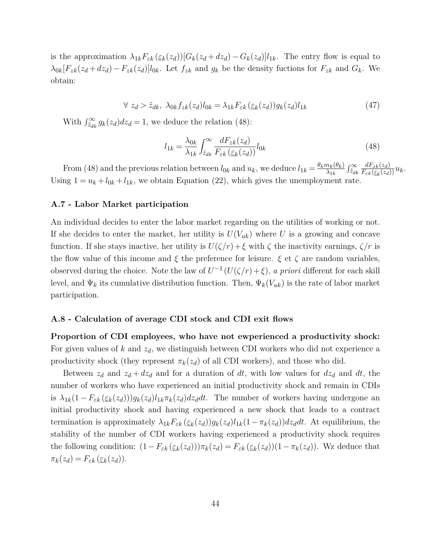is the approximation  $\lambda_{1k}F_{\varepsilon k}(\varepsilon_k(z_d))[G_k(z_d+dz_d)-G_k(z_d)]l_{1k}$ . The entry flow is equal to  $\lambda_{0k}[F_{zk}(z_d+dz_d)-F_{zk}(z_d)]l_{0k}$ . Let  $f_{zk}$  and  $g_k$  be the density fuctions for  $F_{zk}$  and  $G_k$ . We obtain:

$$
\forall z_d > \tilde{z}_{dk}, \ \lambda_{0k} f_{zk}(z_d) l_{0k} = \lambda_{1k} F_{\varepsilon k}(\varepsilon_k(z_d)) g_k(z_d) l_{1k} \tag{47}
$$

With  $\int_{\tilde{z}_{dk}}^{\infty} g_k(z_d) dz_d = 1$ , we deduce the relation (48):

$$
l_{1k} = \frac{\lambda_{0k}}{\lambda_{1k}} \int_{\tilde{z}_{dk}}^{\infty} \frac{dF_{zk}(z_d)}{F_{\varepsilon k}(\varepsilon_k(z_d))} l_{0k}
$$
(48)

From (48) and the previous relation between  $l_{0k}$  and  $u_k$ , we deduce  $l_{1k} = \frac{\theta_k m_k(\theta_k)}{\lambda_{1k}}$  $\frac{n_k(\theta_k)}{\lambda_{1k}} \int_{\tilde{z}_{dk}}^{\infty}$  $dF_{z\overline{k}}(z_d)$  $\frac{a_{F_{z_k}(z_d)}}{F_{\varepsilon_k}(\underline{\varepsilon}_k(z_d))}u_k.$ Using  $1 = u_k + l_{0k} + l_{1k}$ , we obtain Equation (22), which gives the unemployment rate.

### **A.7 - Labor Market participation**

An individual decides to enter the labor market regarding on the utilities of working or not. If she decides to enter the market, her utility is  $U(V_{uk})$  where U is a growing and concave function. If she stays inactive, her utility is  $U(\zeta/r) + \zeta$  with  $\zeta$  the inactivity earnings,  $\zeta/r$  is the flow value of this income and  $\xi$  the preference for leisure.  $\xi$  et  $\zeta$  are random variables, observed during the choice. Note the law of  $U^{-1}(U(\zeta/r)+\xi)$ , *a priori* different for each skill level, and  $\Psi_k$  its cumulative distribution function. Then,  $\Psi_k(V_{uk})$  is the rate of labor market participation.

### **A.8 - Calculation of average CDI stock and CDI exit flows**

**Proportion of CDI employees, who have not ewperienced a productivity shock:** For given values of *k* and *zd*, we distinguish between CDI workers who did not experience a productivity shock (they represent  $\pi_k(z_d)$  of all CDI workers), and those who did.

Between  $z_d$  and  $z_d + dz_d$  and for a duration of dt, with low values for  $dz_d$  and dt, the number of workers who have experienced an initial productivity shock and remain in CDIs is  $\lambda_{1k}(1-F_{\varepsilon k}(\varepsilon_k(z_d)))g_k(z_d)l_{1k}\pi_k(z_d)dz_ddt$ . The number of workers having undergone an initial productivity shock and having experienced a new shock that leads to a contract termination is approximately  $\lambda_{1k}F_{\varepsilon k}(\underline{\varepsilon}_k(z_d))g_k(z_d)l_{1k}(1-\pi_k(z_d))dz_ddt$ . At equilibrium, the stability of the number of CDI workers having experienced a productivity shock requires the following condition:  $(1 - F_{\varepsilon k}(\varepsilon_k(z_d)))\pi_k(z_d) = F_{\varepsilon k}(\varepsilon_k(z_d))(1 - \pi_k(z_d)).$  Wz deduce that  $\pi_k(z_d) = F_{\varepsilon k}(\underline{\varepsilon}_k(z_d)).$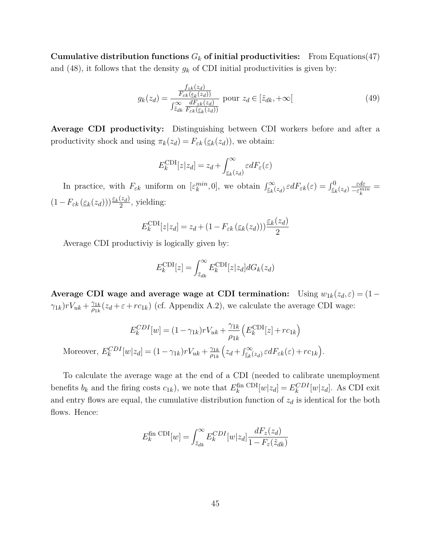**Cumulative distribution functions**  $G_k$  of initial productivities: From Equations(47) and (48), it follows that the density  $g_k$  of CDI initial productivities is given by:

$$
g_k(z_d) = \frac{\frac{f_{zk}(z_d)}{F_{\varepsilon k}(\underline{\varepsilon}_k(z_d))}}{\int_{\tilde{z}_{dk}}^{\infty} \frac{dF_{zk}(z_d)}{F_{\varepsilon k}(\underline{\varepsilon}_k(z_d))}} \text{ pour } z_d \in [\tilde{z}_{dk}, +\infty[ \tag{49}
$$

**Average CDI productivity:** Distinguishing between CDI workers before and after a productivity shock and using  $\pi_k(z_d) = F_{\varepsilon k}(\varepsilon_k(z_d))$ , we obtain:

$$
E_k^{\text{CDI}}[z|z_d] = z_d + \int_{\underline{\varepsilon}_k(z_d)}^{\infty} \varepsilon dF_{\varepsilon}(\varepsilon)
$$

In practice, with  $F_{\varepsilon k}$  uniform on  $[\varepsilon_k^{min}, 0]$ , we obtain  $\int_{\varepsilon_k}^{\infty} (z_d) \, \varepsilon dF_{\varepsilon k}(\varepsilon) = \int_{\varepsilon_k}^0 (z_d) \, \frac{\varepsilon d\varepsilon}{-\varepsilon_k^{min}}$  $\frac{\varepsilon d\varepsilon}{-\varepsilon_k^{min}} =$  $(1-F_{\varepsilon k}(\underline{\varepsilon}_k(z_d)))\frac{\underline{\varepsilon}_k(z_d)}{2}$  $\frac{(z_d)}{2}$ , yielding:

$$
E_k^{\text{CDI}}[z|z_d] = z_d + (1 - F_{\varepsilon k}(\varepsilon_k(z_d))) \frac{\varepsilon_k(z_d)}{2}
$$

Average CDI productiviy is logically given by:

$$
E_k^{\text{CDI}}[z] = \int_{\tilde{z}_{dk}}^{\infty} E_k^{\text{CDI}}[z|z_d] dG_k(z_d)
$$

**Average CDI wage and average wage at CDI termination:** Using  $w_{1k}(z_d, \varepsilon) = (1 - \frac{1}{2})$  $\gamma_{1k}$ )*rV*<sub>*uk*</sub> +  $\frac{\gamma_{1k}}{\rho_{1k}}$  $\frac{\gamma_{1k}}{\rho_{1k}}(z_d + \varepsilon + rc_{1k})$  (cf. Appendix A.2), we calculate the average CDI wage:

$$
E_k^{CDI}[w] = (1 - \gamma_{1k})rV_{uk} + \frac{\gamma_{1k}}{\rho_{1k}} \left( E_k^{CDI}[z] + rc_{1k} \right)
$$
  
Moreover, 
$$
E_k^{CDI}[w|z_d] = (1 - \gamma_{1k})rV_{uk} + \frac{\gamma_{1k}}{\rho_{1k}} \left( z_d + \int_{\underline{\varepsilon}_k(z_d)}^{\infty} \varepsilon dF_{\varepsilon k}(\varepsilon) + rc_{1k} \right).
$$

To calculate the average wage at the end of a CDI (needed to calibrate unemployment benefits  $b_k$  and the firing costs  $c_{1k}$ ), we note that  $E_k^{\text{fin}}$  CDI $[w|z_d] = E_k^{CDI}[w|z_d]$ . As CDI exit and entry flows are equal, the cumulative distribution function of  $z_d$  is identical for the both flows. Hence:

$$
E_k^{\text{fin CDI}}[w] = \int_{\tilde{z}_{dk}}^{\infty} E_k^{CDI}[w|z_d] \frac{dF_z(z_d)}{1 - F_z(\tilde{z}_{dk})}
$$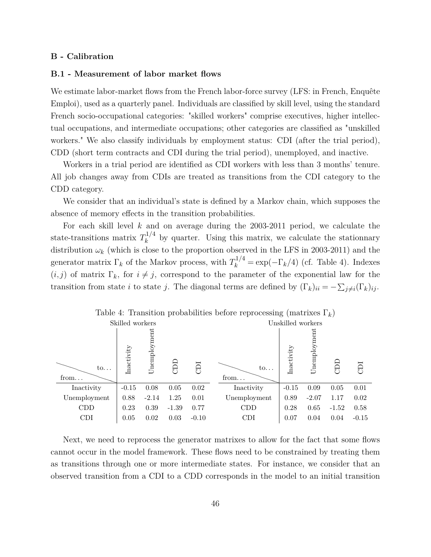#### **B - Calibration**

#### **B.1 - Measurement of labor market flows**

We estimate labor-market flows from the French labor-force survey (LFS: in French, Enquête Emploi), used as a quarterly panel. Individuals are classified by skill level, using the standard French socio-occupational categories: "skilled workers" comprise executives, higher intellectual occupations, and intermediate occupations; other categories are classified as "unskilled workers." We also classify individuals by employment status: CDI (after the trial period), CDD (short term contracts and CDI during the trial period), unemployed, and inactive.

Workers in a trial period are identified as CDI workers with less than 3 months' tenure. All job changes away from CDIs are treated as transitions from the CDI category to the CDD category.

We consider that an individual's state is defined by a Markov chain, which supposes the absence of memory effects in the transition probabilities.

For each skill level *k* and on average during the 2003-2011 period, we calculate the state-transitions matrix  $T_k^{1/4}$  $k^{1/4}$  by quarter. Using this matrix, we calculate the stationnary distribution  $\omega_k$  (which is close to the proportion observed in the LFS in 2003-2011) and the generator matrix  $\Gamma_k$  of the Markov process, with  $T_k^{1/4} = \exp(-\Gamma_k/4)$  (cf. Table 4). Indexes  $(i, j)$  of matrix  $\Gamma_k$ , for  $i \neq j$ , correspond to the parameter of the exponential law for the transition from state *i* to state *j*. The diagonal terms are defined by  $(\Gamma_k)_{ii} = -\sum_{j\neq i} (\Gamma_k)_{ij}$ .



Next, we need to reprocess the generator matrixes to allow for the fact that some flows cannot occur in the model framework. These flows need to be constrained by treating them as transitions through one or more intermediate states. For instance, we consider that an observed transition from a CDI to a CDD corresponds in the model to an initial transition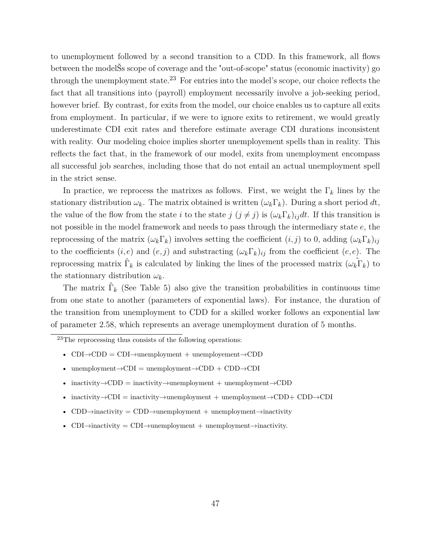to unemployment followed by a second transition to a CDD. In this framework, all flows between the modelŠs scope of coverage and the "out-of-scope" status (economic inactivity) go through the unemployment state.<sup>23</sup> For entries into the model's scope, our choice reflects the fact that all transitions into (payroll) employment necessarily involve a job-seeking period, however brief. By contrast, for exits from the model, our choice enables us to capture all exits from employment. In particular, if we were to ignore exits to retirement, we would greatly underestimate CDI exit rates and therefore estimate average CDI durations inconsistent with reality. Our modeling choice implies shorter unemployement spells than in reality. This reflects the fact that, in the framework of our model, exits from unemployment encompass all successful job searches, including those that do not entail an actual unemployment spell in the strict sense.

In practice, we reprocess the matrixes as follows. First, we weight the  $\Gamma_k$  lines by the stationary distribution  $\omega_k$ . The matrix obtained is written  $(\omega_k \Gamma_k)$ . During a short period dt, the value of the flow from the state *i* to the state  $j$  ( $j \neq j$ ) is  $(\omega_k \Gamma_k)_{ij} dt$ . If this transition is not possible in the model framework and needs to pass through the intermediary state *e*, the reprocessing of the matrix  $(\omega_k \Gamma_k)$  involves setting the coefficient  $(i, j)$  to 0, adding  $(\omega_k \Gamma_k)_{ij}$ to the coefficients  $(i, e)$  and  $(e, j)$  and substracting  $(\omega_k \Gamma_k)_{ij}$  from the coefficient  $(e, e)$ . The reprocessing matrix  $\hat{\Gamma}_k$  is calculated by linking the lines of the processed matrix  $(\omega_k \hat{\Gamma}_k)$  to the stationnary distribution  $\omega_k$ .

The matrix  $\hat{\Gamma}_k$  (See Table 5) also give the transition probabilities in continuous time from one state to another (parameters of exponential laws). For instance, the duration of the transition from unemployment to CDD for a skilled worker follows an exponential law of parameter 2.58, which represents an average unemployment duration of 5 months.

<sup>23</sup>The reprocessing thus consists of the following operations:

- $CDI \rightarrow CDD = CDI \rightarrow$ unemployment + unemployement $\rightarrow CDD$
- unemployment $\rightarrow$ CDI = unemployment $\rightarrow$ CDD + CDD $\rightarrow$ CDI
- $\text{inactivity}\rightarrow\text{CDD}$  = inactivity $\rightarrow$ unemployment + unemployment $\rightarrow\text{CDD}$
- inactivity $\rightarrow$ CDI = inactivity $\rightarrow$ unemployment + unemployment $\rightarrow$ CDD+ CDD $\rightarrow$ CDI
- CDD $\rightarrow$ inactivity = CDD $\rightarrow$ unemployment + unemployment $\rightarrow$ inactivity
- CDI $\rightarrow$ inactivity = CDI $\rightarrow$ unemployment + unemployment $\rightarrow$ inactivity.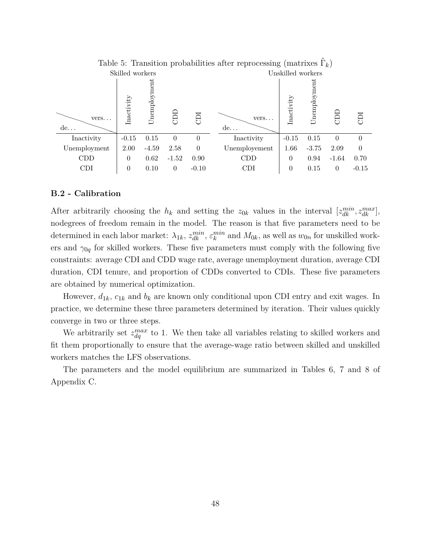| Table 5: Transition probabilities after reprocessing (matrixes $\Gamma_k$ ) |                 |              |                |          |               |                   |              |          |          |
|-----------------------------------------------------------------------------|-----------------|--------------|----------------|----------|---------------|-------------------|--------------|----------|----------|
|                                                                             | Skilled workers |              |                |          |               | Unskilled workers |              |          |          |
| vers.<br>de                                                                 | Inactivity      | Unemployment | a              | E        | $vers.$<br>de | Inactivity        | Unemployment | d<br>C   | ICE      |
| Inactivity                                                                  | $-0.15$         | 0.15         | $\theta$       | $\theta$ | Inactivity    | $-0.15$           | 0.15         | $\Omega$ | $\Omega$ |
| Unemployment                                                                | 2.00            | $-4.59$      | 2.58           | $\Omega$ | Unemployement | 1.66              | $-3.75$      | 2.09     | $\Omega$ |
| CDD                                                                         | $\theta$        | 0.62         | $-1.52$        | 0.90     | <b>CDD</b>    | $\theta$          | 0.94         | $-1.64$  | 0.70     |
| <b>CDI</b>                                                                  | $\theta$        | 0.10         | $\overline{0}$ | $-0.10$  | CDI           | $\theta$          | 0.15         | $\theta$ | $-0.15$  |

#### **B.2 - Calibration**

After arbitrarily choosing the  $h_k$  and setting the  $z_{0k}$  values in the interval  $[z_{dk}^{min}, z_{dk}^{max}]$ , nodegrees of freedom remain in the model. The reason is that five parameters need to be determined in each labor market:  $\lambda_{1k}$ ,  $z_{dk}^{min}$ ,  $\varepsilon_k^{min}$  and  $M_{0k}$ , as well as  $w_{0n}$  for unskilled workers and  $\gamma_{0q}$  for skilled workers. These five parameters must comply with the following five constraints: average CDI and CDD wage rate, average unemployment duration, average CDI duration, CDI tenure, and proportion of CDDs converted to CDIs. These five parameters are obtained by numerical optimization.

However,  $d_{1k}$ ,  $c_{1k}$  and  $b_k$  are known only conditional upon CDI entry and exit wages. In practice, we determine these three parameters determined by iteration. Their values quickly converge in two or three steps.

We arbitrarily set  $z_{dq}^{max}$  to 1. We then take all variables relating to skilled workers and fit them proportionally to ensure that the average-wage ratio between skilled and unskilled workers matches the LFS observations.

The parameters and the model equilibrium are summarized in Tables 6, 7 and 8 of Appendix C.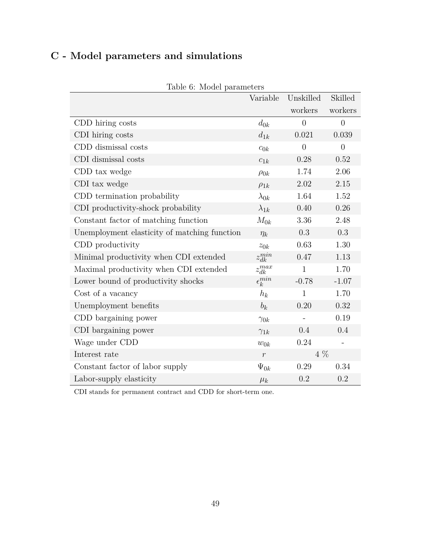# **C - Model parameters and simulations**

| rable v. niouer parameters                   |                    |                |                |
|----------------------------------------------|--------------------|----------------|----------------|
|                                              | Variable           | Unskilled      | Skilled        |
|                                              |                    | workers        | workers        |
| CDD hiring costs                             | $d_{0k}$           | $\overline{0}$ | $\overline{0}$ |
| CDI hiring costs                             | $d_{1k}$           | 0.021          | 0.039          |
| CDD dismissal costs                          | $c_{0k}$           | $\overline{0}$ | $\overline{0}$ |
| CDI dismissal costs                          | $c_{1k}$           | 0.28           | 0.52           |
| CDD tax wedge                                | $\rho_{0k}$        | 1.74           | 2.06           |
| CDI tax wedge                                | $\rho_{1k}$        | 2.02           | 2.15           |
| CDD termination probability                  | $\lambda_{0k}$     | 1.64           | 1.52           |
| CDI productivity-shock probability           | $\lambda_{1k}$     | 0.40           | 0.26           |
| Constant factor of matching function         | $M_{0k}$           | 3.36           | 2.48           |
| Unemployment elasticity of matching function | $\eta_k$           | 0.3            | 0.3            |
| CDD productivity                             | $z_{0k}$           | 0.63           | 1.30           |
| Minimal productivity when CDI extended       | $z_{dk}^{min}$     | 0.47           | 1.13           |
| Maximal productivity when CDI extended       | $z_{dk}^{max}$     | $\mathbf{1}$   | 1.70           |
| Lower bound of productivity shocks           | $\epsilon_k^{min}$ | $-0.78$        | $-1.07$        |
| Cost of a vacancy                            | $h_k$              | $\mathbf{1}$   | 1.70           |
| Unemployment benefits                        | $b_k$              | 0.20           | 0.32           |
| CDD bargaining power                         | $\gamma_{0k}$      |                | 0.19           |
| CDI bargaining power                         | $\gamma_{1k}$      | 0.4            | 0.4            |
| Wage under CDD                               | $w_{0k}$           | 0.24           |                |
| Interest rate                                | $\,r\,$            | $4\%$          |                |
| Constant factor of labor supply              | $\Psi_{0k}$        | 0.29           | 0.34           |
| Labor-supply elasticity                      | $\mu_k$            | 0.2            | 0.2            |

Table 6: Model parameters

CDI stands for permanent contract and CDD for short-term one.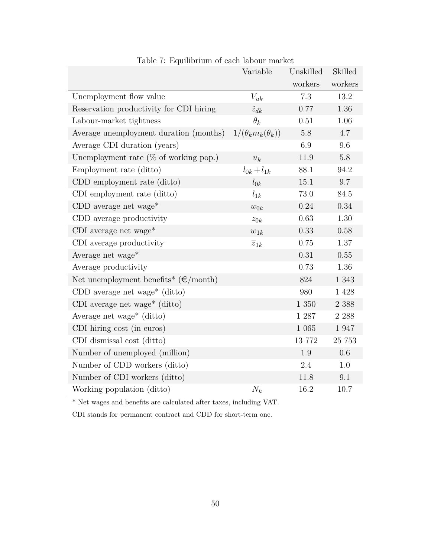|                                                             | Variable                     | Unskilled | Skilled |
|-------------------------------------------------------------|------------------------------|-----------|---------|
|                                                             |                              | workers   | workers |
| Unemployment flow value                                     | $V_{uk}$                     | 7.3       | 13.2    |
| Reservation productivity for CDI hiring                     | $\tilde{z}_{dk}$             | 0.77      | 1.36    |
| Labour-market tightness                                     | $\theta_k$                   | 0.51      | 1.06    |
| Average unemployment duration (months)                      | $1/(\theta_k m_k(\theta_k))$ | 5.8       | 4.7     |
| Average CDI duration (years)                                |                              | 6.9       | 9.6     |
| Unemployment rate ( $\%$ of working pop.)                   | $u_k$                        | 11.9      | $5.8\,$ |
| Employment rate (ditto)                                     | $l_{0k} + l_{1k}$            | 88.1      | 94.2    |
| CDD employment rate (ditto)                                 | $l_{0k}$                     | 15.1      | 9.7     |
| CDI employment rate (ditto)                                 | $l_{1k}$                     | 73.0      | 84.5    |
| CDD average net wage <sup>*</sup>                           | $w_{0k}$                     | 0.24      | 0.34    |
| CDD average productivity                                    | $z_{0k}$                     | 0.63      | 1.30    |
| CDI average net wage <sup>*</sup>                           | $\overline{w}_{1k}$          | 0.33      | 0.58    |
| CDI average productivity                                    | $\overline{z}_{1k}$          | 0.75      | 1.37    |
| Average net wage*                                           |                              | 0.31      | 0.55    |
| Average productivity                                        |                              | 0.73      | 1.36    |
| Net unemployment benefits <sup>*</sup> ( $\epsilon$ /month) |                              | 824       | 1 3 4 3 |
| CDD average net wage <sup>*</sup> (ditto)                   |                              | 980       | 1 4 2 8 |
| CDI average net wage <sup>*</sup> (ditto)                   |                              | 1 350     | 2 3 8 8 |
| Average net wage <sup>*</sup> (ditto)                       |                              | $1\ 287$  | 2 2 8 8 |
| CDI hiring cost (in euros)                                  |                              | $1\ 065$  | 1 947   |
| CDI dismissal cost (ditto)                                  |                              | 13 772    | 25 753  |
| Number of unemployed (million)                              |                              | 1.9       | 0.6     |
| Number of CDD workers (ditto)                               |                              | 2.4       | 1.0     |
| Number of CDI workers (ditto)                               |                              | 11.8      | 9.1     |
| Working population (ditto)                                  | $N_k$                        | 16.2      | 10.7    |

Table 7: Equilibrium of each labour market

\* Net wages and benefits are calculated after taxes, including VAT.

CDI stands for permanent contract and CDD for short-term one.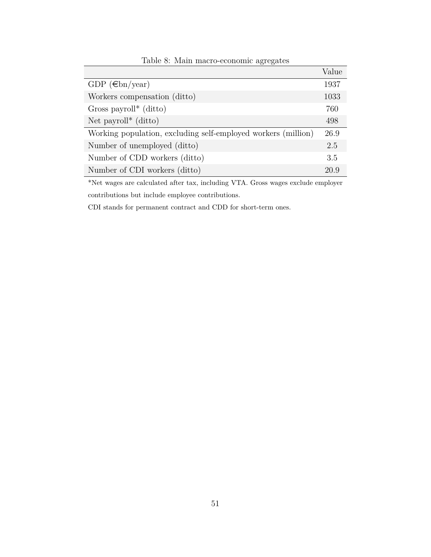|                                                               | Value |
|---------------------------------------------------------------|-------|
| GDP $(\epsilon b n/year)$                                     | 1937  |
| Workers compensation (ditto)                                  | 1033  |
| Gross payroll <sup>*</sup> (ditto)                            | 760   |
| Net payroll <sup>*</sup> (ditto)                              | 498   |
| Working population, excluding self-employed workers (million) | 26.9  |
| Number of unemployed (ditto)                                  | 2.5   |
| Number of CDD workers (ditto)                                 | 3.5   |
| Number of CDI workers (ditto)                                 | 20.9  |

Table 8: Main macro-economic agregates

\*Net wages are calculated after tax, including VTA. Gross wages exclude employer contributions but include employee contributions.

CDI stands for permanent contract and CDD for short-term ones.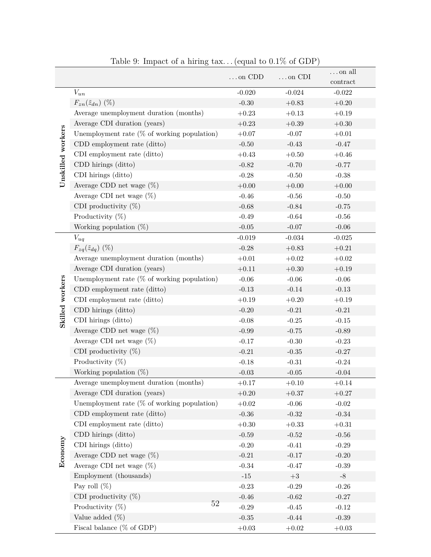|                   |                                                | $\ldots$ on CDD | $\ldots$ on CDI | $\dots$ on all |
|-------------------|------------------------------------------------|-----------------|-----------------|----------------|
|                   |                                                |                 |                 | $\,$ contract  |
|                   | $V_{un}$                                       | $-0.020$        | $-0.024$        | $-0.022$       |
|                   | $F_{zn}(\tilde{z}_{dn})$ (%)                   | $-0.30$         | $+0.83$         | $+0.20$        |
|                   | Average unemployment duration (months)         | $+0.23$         | $+0.13$         | $+0.19$        |
|                   | Average CDI duration (years)                   | $+0.23$         | $+0.39$         | $+0.30$        |
| Unskilled workers | Unemployment rate $(\%$ of working population) | $+0.07$         | $-0.07$         | $+0.01$        |
|                   | CDD employment rate (ditto)                    | $-0.50$         | $-0.43$         | $-0.47$        |
|                   | CDI employment rate (ditto)                    | $+0.43$         | $+0.50$         | $+0.46$        |
|                   | CDD hirings (ditto)                            | $-0.82$         | $-0.70$         | $-0.77$        |
|                   | CDI hirings (ditto)                            | $-0.28$         | $-0.50$         | $-0.38$        |
|                   | Average CDD net wage $(\%)$                    | $+0.00$         | $+0.00$         | $+0.00$        |
|                   | Average CDI net wage $(\%)$                    | $-0.46$         | $-0.56$         | $-0.50$        |
|                   | CDI productivity $(\%)$                        | $-0.68$         | $-0.84$         | $-0.75$        |
|                   | Productivity $(\%)$                            | $-0.49$         | $-0.64$         | $-0.56$        |
|                   | Working population $(\%)$                      | $-0.05$         | $-0.07$         | $-0.06$        |
|                   | $V_{uq}$                                       | $-0.019$        | $-0.034$        | $-0.025$       |
|                   | $F_{zq}(\tilde{z}_{dq})$ (%)                   | $-0.28$         | $+0.83$         | $+0.21$        |
|                   | Average unemployment duration (months)         | $+0.01$         | $+0.02$         | $+0.02$        |
|                   | Average CDI duration (years)                   | $+0.11$         | $+0.30$         | $+0.19$        |
|                   | Unemployment rate $(\%$ of working population) | $-0.06$         | $-0.06$         | $-0.06$        |
| Skilled workers   | CDD employment rate (ditto)                    | $-0.13$         | $-0.14$         | $-0.13$        |
|                   | CDI employment rate (ditto)                    | $+0.19$         | $+0.20$         | $+0.19$        |
|                   | CDD hirings (ditto)                            | $-0.20$         | $-0.21$         | $-0.21$        |
|                   | CDI hirings (ditto)                            | $-0.08$         | $-0.25$         | $-0.15$        |
|                   | Average CDD net wage $(\%)$                    | $-0.99$         | $-0.75$         | $-0.89$        |
|                   | Average CDI net wage $(\%)$                    | $-0.17$         | $-0.30$         | $-0.23$        |
|                   | CDI productivity $(\%)$                        | $-0.21$         | $-0.35$         | $-0.27$        |
|                   | Productivity $(\%)$                            | $-0.18$         | $-0.31$         | $-0.24$        |
|                   | Working population $(\%)$                      | $-0.03$         | $-0.05$         | $-0.04$        |
|                   | Average unemployment duration (months)         | $+0.17$         | $+0.10$         | $+0.14$        |
|                   | Average CDI duration (years)                   | $+0.20$         | $+0.37$         | $+0.27$        |
|                   | Unemployment rate $(\%$ of working population) | $+0.02$         | $-0.06$         | $-0.02$        |
|                   | CDD employment rate (ditto)                    | $-0.36$         | $-0.32$         | $-0.34$        |
|                   | CDI employment rate (ditto)                    | $+0.30$         | $+0.33$         | $+0.31$        |
|                   | CDD hirings (ditto)                            | $-0.59$         | $-0.52$         | $-0.56$        |
| Economy           | CDI hirings (ditto)                            | $-0.20$         | $-0.41$         | $-0.29$        |
|                   | Average CDD net wage $(\%)$                    | $-0.21$         | $-0.17$         | $-0.20$        |
|                   | Average CDI net wage $(\%)$                    | $-0.34$         | $-0.47$         | $-0.39$        |
|                   | Employment (thousands)                         | $-15$           | $+3$            | $-8$           |
|                   | Pay roll $(\%)$                                | $-0.23$         | $-0.29$         | $-0.26$        |
|                   | CDI productivity $(\%)$                        | $-0.46$         | $-0.62$         | $-0.27$        |
|                   | 52<br>Productivity $(\%)$                      | $-0.29$         | $-0.45$         | $-0.12$        |
|                   | Value added $(\%)$                             | $-0.35$         | $-0.44$         | $-0.39$        |
|                   | Fiscal balance ( $\%$ of GDP)                  | $+0.03\,$       | $+0.02\,$       | $+0.03\,$      |

Table 9: Impact of a hiring tax. . . (equal to 0.1% of GDP)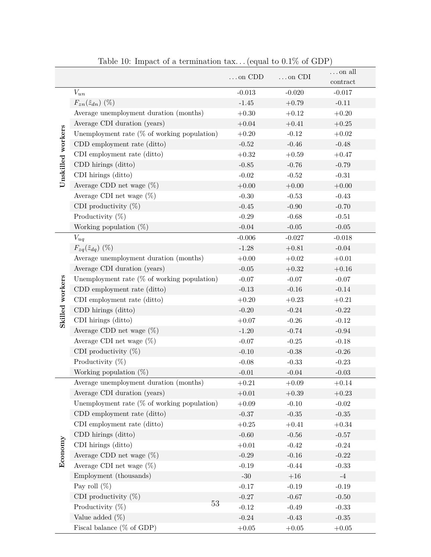|                   |                                                | $\dots$ on $CDD$ | $\ldots$ on CDI | $\dots$ on all |
|-------------------|------------------------------------------------|------------------|-----------------|----------------|
|                   |                                                |                  |                 | $\,$ contract  |
|                   | $V_{un}$                                       | $-0.013$         | $-0.020$        | $-0.017$       |
|                   | $F_{zn}(\tilde{z}_{dn})$ (%)                   | $-1.45$          | $+0.79$         | $-0.11$        |
|                   | Average unemployment duration (months)         | $+0.30$          | $+0.12$         | $+0.20\,$      |
|                   | Average CDI duration (years)                   | $+0.04$          | $+0.41$         | $+0.25$        |
| Unskilled workers | Unemployment rate $(\%$ of working population) | $+0.20$          | $-0.12$         | $+0.02$        |
|                   | CDD employment rate (ditto)                    | $-0.52$          | $-0.46$         | $-0.48$        |
|                   | CDI employment rate (ditto)                    | $+0.32$          | $+0.59$         | $+0.47$        |
|                   | CDD hirings (ditto)                            | $-0.85$          | $-0.76$         | $-0.79$        |
|                   | CDI hirings (ditto)                            | $-0.02$          | $-0.52$         | $-0.31$        |
|                   | Average CDD net wage $(\%)$                    | $+0.00$          | $+0.00$         | $+0.00$        |
|                   | Average CDI net wage $(\%)$                    | $-0.30$          | $-0.53$         | $-0.43$        |
|                   | CDI productivity $(\%)$                        | $-0.45$          | $-0.90$         | $-0.70$        |
|                   | Productivity $(\%)$                            | $-0.29$          | $-0.68$         | $-0.51$        |
|                   | Working population $(\%)$                      | $-0.04$          | $-0.05$         | $-0.05$        |
|                   | $V_{uq}$                                       | $-0.006$         | $-0.027$        | $-0.018$       |
|                   | $F_{zq}(\tilde{z}_{dq})$ (%)                   | $-1.28$          | $+0.81$         | $-0.04$        |
|                   | Average unemployment duration (months)         | $+0.00$          | $+0.02$         | $+0.01$        |
|                   | Average CDI duration (years)                   | $-0.05$          | $+0.32$         | $+0.16$        |
|                   | Unemployment rate $(\%$ of working population) | $-0.07$          | $-0.07$         | $-0.07$        |
| Skilled workers   | CDD employment rate (ditto)                    | $-0.13$          | $-0.16$         | $-0.14$        |
|                   | CDI employment rate (ditto)                    | $+0.20$          | $+0.23$         | $+0.21$        |
|                   | CDD hirings (ditto)                            | $-0.20$          | $-0.24$         | $-0.22$        |
|                   | CDI hirings (ditto)                            | $+0.07$          | $-0.26$         | $-0.12$        |
|                   | Average CDD net wage $(\%)$                    | $-1.20$          | $-0.74$         | $-0.94$        |
|                   | Average CDI net wage $(\%)$                    | $-0.07$          | $-0.25$         | $-0.18$        |
|                   | CDI productivity $(\%)$                        | $-0.10$          | $-0.38$         | $-0.26$        |
|                   | Productivity $(\%)$                            | $-0.08$          | $-0.33$         | $-0.23$        |
|                   | Working population $(\%)$                      | $-0.01$          | $-0.04$         | $-0.03$        |
|                   | Average unemployment duration (months)         | $+0.21$          | $+0.09\,$       | $+0.14\,$      |
|                   | Average CDI duration (years)                   | $+0.01\,$        | $+0.39$         | $+0.23$        |
|                   | Unemployment rate $(\%$ of working population) | $+0.09$          | $-0.10$         | $-0.02$        |
|                   | CDD employment rate (ditto)                    | $-0.37$          | $\mbox{-}0.35$  | $-0.35$        |
|                   | CDI employment rate (ditto)                    | $+0.25$          | $+0.41$         | $+0.34$        |
|                   | CDD hirings (ditto)                            | $-0.60$          | $-0.56$         | $-0.57$        |
| Economy           | CDI hirings (ditto)                            | $+0.01\,$        | $-0.42$         | $-0.24$        |
|                   | Average CDD net wage $(\%)$                    | $-0.29$          | $-0.16$         | $-0.22$        |
|                   | Average CDI net wage $(\%)$                    | $-0.19$          | $-0.44$         | $-0.33$        |
|                   | Employment (thousands)                         | $-30$            | $+16$           | $-4$           |
|                   | Pay roll $(\%)$                                | $-0.17$          | $-0.19$         | $-0.19$        |
|                   | CDI productivity $(\%)$                        | $-0.27$          | $-0.67$         | $-0.50$        |
|                   | 53<br>Productivity $(\%)$                      | $-0.12$          | $-0.49$         | $-0.33$        |
|                   | Value added $(\%)$                             | $-0.24$          | $-0.43$         | $-0.35$        |
|                   | Fiscal balance ( $\%$ of GDP)                  | $+0.05$          | $+0.05\,$       | $+0.05\,$      |

Table 10: Impact of a termination  $\text{tax...}$  (equal to  $0.1\%$  of GDP)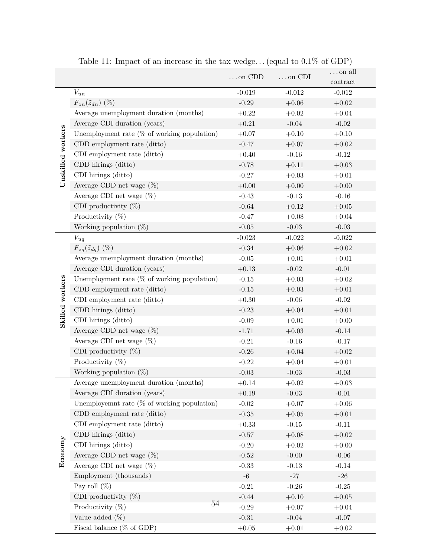|                   |                                                                        | $\ldots$ on CDD    | $\ldots$ on CDI    | $\dots$ on all                           |
|-------------------|------------------------------------------------------------------------|--------------------|--------------------|------------------------------------------|
|                   |                                                                        | $-0.019$           | $-0.012$           | $\mathop{\mathrm{contract}}$<br>$-0.012$ |
|                   | $V_{un}$                                                               | $-0.29$            | $+0.06$            | $+0.02$                                  |
|                   | $F_{zn}(\tilde{z}_{dn})$ (%)<br>Average unemployment duration (months) | $+0.22$            | $+0.02$            | $+0.04$                                  |
|                   | Average CDI duration (years)                                           | $+0.21$            | $-0.04$            | $-0.02$                                  |
|                   | Unemployment rate $(\%$ of working population)                         | $+0.07$            | $+0.10$            | $+0.10$                                  |
| Unskilled workers | CDD employment rate (ditto)                                            | $-0.47$            | $+0.07$            | $+0.02$                                  |
|                   | CDI employment rate (ditto)                                            | $+0.40$            | $-0.16$            | $-0.12$                                  |
|                   | CDD hirings (ditto)                                                    | $-0.78$            | $+0.11$            | $+0.03$                                  |
|                   | CDI hirings (ditto)                                                    | $-0.27$            | $+0.03$            | $+0.01$                                  |
|                   | Average CDD net wage $(\%)$                                            |                    |                    |                                          |
|                   | Average CDI net wage $(\%)$                                            | $+0.00$<br>$-0.43$ | $+0.00$<br>$-0.13$ | $+0.00$<br>$-0.16$                       |
|                   | CDI productivity $(\%)$                                                |                    |                    |                                          |
|                   |                                                                        | $-0.64$            | $+0.12$            | $+0.05$                                  |
|                   | Productivity $(\%)$                                                    | $-0.47$            | $+0.08$            | $+0.04\,$                                |
|                   | Working population $(\%)$                                              | $-0.05$            | $-0.03$            | $-0.03$                                  |
|                   | $V_{uq}$                                                               | $-0.023$           | $-0.022$           | $-0.022$                                 |
|                   | $F_{zq}(\tilde{z}_{dq})$ (%)                                           | $-0.34$            | $+0.06$            | $+0.02$                                  |
|                   | Average unemployment duration (months)                                 | $-0.05$            | $+0.01$            | $+0.01$                                  |
|                   | Average CDI duration (years)                                           | $+0.13$            | $-0.02$            | $-0.01$                                  |
|                   | Unemployment rate $(\%$ of working population)                         | $-0.15$            | $+0.03$            | $+0.02$                                  |
| Skilled workers   | CDD employment rate (ditto)                                            | $\mbox{-}0.15$     | $+0.03$            | $+0.01$                                  |
|                   | CDI employment rate (ditto)                                            | $+0.30$            | $-0.06$            | $-0.02$                                  |
|                   | CDD hirings (ditto)                                                    | $-0.23$            | $+0.04$            | $+0.01$                                  |
|                   | CDI hirings (ditto)                                                    | $-0.09$            | $+0.01$            | $+0.00$                                  |
|                   | Average CDD net wage $(\%)$                                            | $-1.71$            | $+0.03$            | $-0.14$                                  |
|                   | Average CDI net wage $(\%)$                                            | $-0.21$            | $-0.16$            | $-0.17$                                  |
|                   | CDI productivity $(\%)$                                                | $-0.26$            | $+0.04$            | $+0.02\,$                                |
|                   | Productivity $(\%)$                                                    | $-0.22$            | $+0.04$            | $+0.01$                                  |
|                   | Working population $(\%)$                                              | $-0.03$            | $-0.03$            | $-0.03$                                  |
|                   | Average unemployment duration (months)                                 | $+0.14\,$          | $+0.02\,$          | $+0.03$                                  |
|                   | Average CDI duration (years)                                           | $+0.19$            | $-0.03$            | $-0.01$                                  |
|                   | Unemployemnt rate $(\%$ of working population)                         | $-0.02$            | $+0.07$            | $+0.06$                                  |
|                   | CDD employment rate (ditto)                                            | $-0.35$            | $+0.05$            | $+0.01$                                  |
|                   | CDI employment rate (ditto)                                            | $+0.33$            | $-0.15$            | $-0.11$                                  |
|                   | CDD hirings (ditto)                                                    | $-0.57$            | $+0.08$            | $+0.02$                                  |
| Economy           | CDI hirings (ditto)                                                    | $-0.20$            | $+0.02$            | $+0.00$                                  |
|                   | Average CDD net wage $(\%)$                                            | $-0.52$            | $-0.00$            | $-0.06$                                  |
|                   | Average CDI net wage $(\%)$                                            | $-0.33$            | $-0.13$            | $-0.14$                                  |
|                   | Employment (thousands)                                                 | $-6$               | $-27$              | $-26$                                    |
|                   | Pay roll $(\%)$                                                        | $-0.21$            | $-0.26$            | $-0.25$                                  |
|                   | CDI productivity $(\%)$<br>$54\,$                                      | $-0.44$            | $+0.10$            | $+0.05$                                  |
|                   | Productivity $(\%)$                                                    | $-0.29$            | $+0.07$            | $+0.04$                                  |
|                   | Value added $(\%)$                                                     | $-0.31$            | $-0.04$            | $-0.07$                                  |
|                   | Fiscal balance ( $\%$ of GDP)                                          | $+0.05\,$          | $+0.01\,$          | $+0.02$                                  |

Table 11: Impact of an increase in the tax wedge. . . (equal to 0.1% of GDP)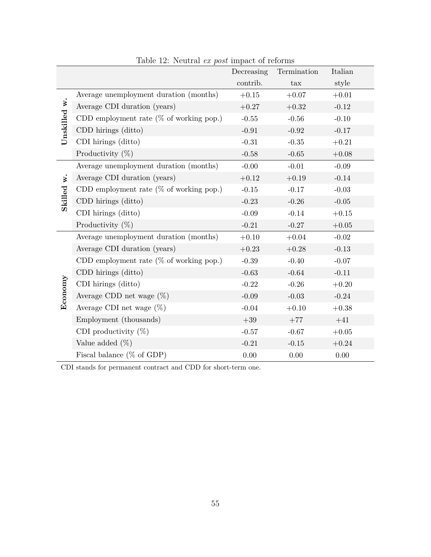|              |                                            | Decreasing | Termination | Italian |
|--------------|--------------------------------------------|------------|-------------|---------|
|              |                                            | contrib.   | tax         | style   |
|              | Average unemployment duration (months)     | $+0.15$    | $+0.07$     | $+0.01$ |
| Unskilled w. | Average CDI duration (years)               | $+0.27$    | $+0.32$     | $-0.12$ |
|              | CDD employment rate $(\%$ of working pop.) | $-0.55$    | $-0.56$     | $-0.10$ |
|              | CDD hirings (ditto)                        | $-0.91$    | $-0.92$     | $-0.17$ |
|              | CDI hirings (ditto)                        | $-0.31$    | $-0.35$     | $+0.21$ |
|              | Productivity $(\%)$                        | $-0.58$    | $-0.65$     | $+0.08$ |
|              | Average unemployment duration (months)     | $-0.00$    | $-0.01$     | $-0.09$ |
| w.           | Average CDI duration (years)               | $+0.12$    | $+0.19$     | $-0.14$ |
|              | CDD employment rate ( $%$ of working pop.) | $-0.15$    | $-0.17$     | $-0.03$ |
| Skilled      | CDD hirings (ditto)                        | $-0.23$    | $-0.26$     | $-0.05$ |
|              | CDI hirings (ditto)                        | $-0.09$    | $-0.14$     | $+0.15$ |
|              | Productivity $(\%)$                        | $-0.21$    | $-0.27$     | $+0.05$ |
|              | Average unemployment duration (months)     | $+0.10$    | $+0.04$     | $-0.02$ |
|              | Average CDI duration (years)               | $+0.23$    | $+0.28$     | $-0.13$ |
|              | CDD employment rate $(\%$ of working pop.) | $-0.39$    | $-0.40$     | $-0.07$ |
|              | CDD hirings (ditto)                        | $-0.63$    | $-0.64$     | $-0.11$ |
| Economy      | CDI hirings (ditto)                        | $-0.22$    | $-0.26$     | $+0.20$ |
|              | Average CDD net wage $(\%)$                | $-0.09$    | $-0.03$     | $-0.24$ |
|              | Average CDI net wage $(\%)$                | $-0.04$    | $+0.10$     | $+0.38$ |
|              | Employment (thousands)                     | $+39\,$    | $+77$       | $+41$   |
|              | CDI productivity $(\%)$                    | $-0.57$    | $-0.67$     | $+0.05$ |
|              | Value added $(\%)$                         | $-0.21$    | $-0.15$     | $+0.24$ |
|              | Fiscal balance ( $%$ of GDP)               | 0.00       | 0.00        | 0.00    |

Table 12: Neutral *ex post* impact of reforms

CDI stands for permanent contract and CDD for short-term one.